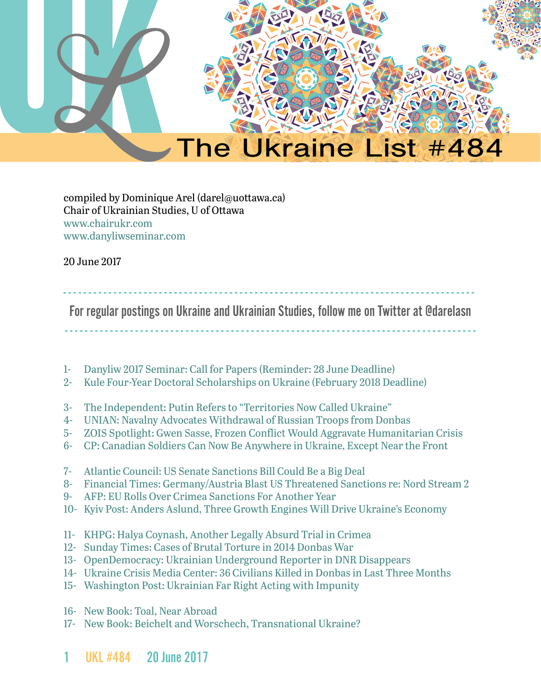

### compiled by Dominique Arel (darel@uottawa.ca) Chair of Ukrainian Studies, U of Ottawa www.chairukr.com www.danyliwseminar.com

20 June 2017

<span id="page-0-0"></span>- - - - - - - - - - - - - - - - - - - - - - - - - - - - - - - - - - - - - - - - - - - - - - - - - - - - - - - - - - - - - - - - - - - - - - - - - - - - - - - - - -

For regular postings on Ukraine and Ukrainian Studies, follow me on Twitter at @darelasn

- - - - - - - - - - - - - - - - - - - - - - - - - - - - - - - - - - - - - - - - - - - - - - - - - - - - - - - - - - - - - - - - - - - - - - - - - - - - - - - - - -

- 1- [Danyliw 2017 Seminar: Call for Papers \(Reminder: 28 June Deadline\)](#page-1-0)
- 2- [Kule Four-Year Doctoral Scholarships on Ukraine \(February 2018 Deadline\)](#page-3-0)
- 3- The Independent: Putin Refers to "Territories Now Called Ukraine"
- 4- [UNIAN: Navalny Advocates Withdrawal of Russian Troops from Donbas](#page-6-0)
- 5- [ZOIS Spotlight: Gwen Sasse, Frozen Conflict Would Aggravate Humanitarian Crisis](#page-7-0)
- 6- [CP: Canadian Soldiers Can Now Be Anywhere in Ukraine, Except Near the Front](#page-9-0)
- 7- Atlantic Council: US Senate Sanctions Bill Could Be a Big Deal
- 8- [Financial Times: Germany/Austria Blast US Threatened Sanctions re: Nord Stream 2](#page-15-0)
- 9- [AFP: EU Rolls Over Crimea Sanctions For Another Year](#page-17-0)
- 10- [Kyiv Post: Anders Aslund, Three Growth Engines Will Drive Ukraine's Economy](#page-18-0)
- 11- [KHPG: Halya Coynash, Another Legally Absurd Trial in Crimea](#page-20-0)
- 12- [Sunday Times: Cases of Brutal Torture in 2014 Donbas War](#page-22-0)
- 13- [OpenDemocracy: Ukrainian Underground Reporter in DNR Disappears](#page-28-0)
- 14- [Ukraine Crisis Media Center: 36 Civilians Killed in Donbas in Last Three Months](#page-29-0)
- 15- Washington Post: Ukrainian Far Right Acting with Impunity
- 16- [New Book: Toal, Near Abroad](#page-33-0)
- 17- [New Book: Beichelt and Worschech, Transnational Ukraine?](#page-34-0)
- 1 UKL #484 20 June 2017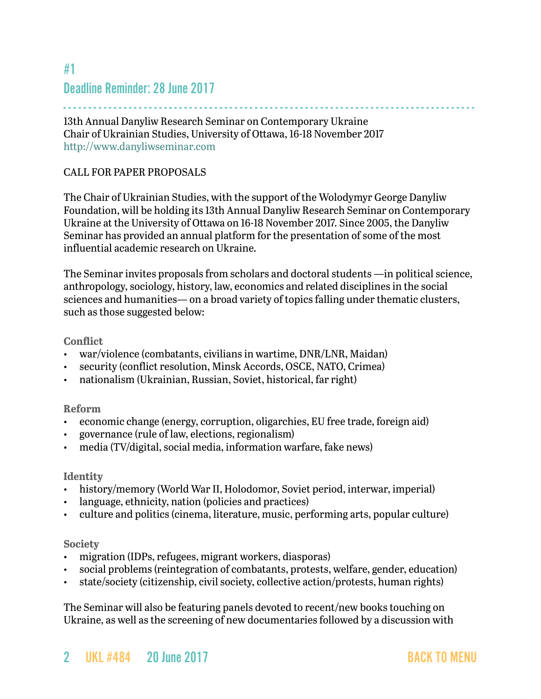## <span id="page-1-0"></span>#1 Deadline Reminder: 28 June 2017

- - - - - - - - - - - - - - - - - - - - - - - - - - - - - - - - - - - - - - - - - - - - - - - - - - - - - - - - - - - - - - - - - - - - - - - - - - - - - - - - - - 13th Annual Danyliw Research Seminar on Contemporary Ukraine Chair of Ukrainian Studies, University of Ottawa, 16-18 November 2017 <http://www.danyliwseminar.com>

### CALL FOR PAPER PROPOSALS

The Chair of Ukrainian Studies, with the support of the Wolodymyr George Danyliw Foundation, will be holding its 13th Annual Danyliw Research Seminar on Contemporary Ukraine at the University of Ottawa on 16-18 November 2017. Since 2005, the Danyliw Seminar has provided an annual platform for the presentation of some of the most influential academic research on Ukraine.

The Seminar invites proposals from scholars and doctoral students —in political science, anthropology, sociology, history, law, economics and related disciplines in the social sciences and humanities— on a broad variety of topics falling under thematic clusters, such as those suggested below:

### **Conflict**

- war/violence (combatants, civilians in wartime, DNR/LNR, Maidan)
- security (conflict resolution, Minsk Accords, OSCE, NATO, Crimea)
- nationalism (Ukrainian, Russian, Soviet, historical, far right)

### **Reform**

- economic change (energy, corruption, oligarchies, EU free trade, foreign aid)
- governance (rule of law, elections, regionalism)
- media (TV/digital, social media, information warfare, fake news)

### **Identity**

- history/memory (World War II, Holodomor, Soviet period, interwar, imperial)
- language, ethnicity, nation (policies and practices)
- culture and politics (cinema, literature, music, performing arts, popular culture)

### **Society**

- migration (IDPs, refugees, migrant workers, diasporas)
- social problems (reintegration of combatants, protests, welfare, gender, education)
- state/society (citizenship, civil society, collective action/protests, human rights)

The Seminar will also be featuring panels devoted to recent/new books touching on Ukraine, as well as the screening of new documentaries followed by a discussion with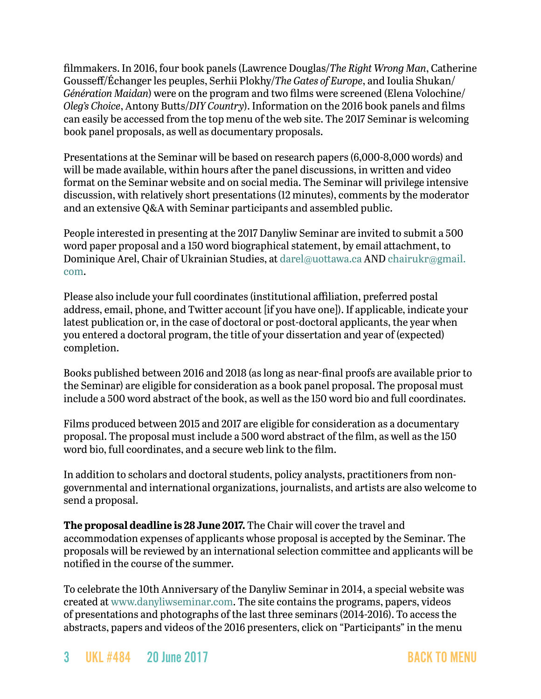filmmakers. In 2016, four book panels (Lawrence Douglas/*The Right Wrong Man*, Catherine Gousseff/Échanger les peuples, Serhii Plokhy/*The Gates of Europe*, and Ioulia Shukan/ *Génération Maidan*) were on the program and two films were screened (Elena Volochine/ *Oleg's Choice*, Antony Butts/*DIY Country*). Information on the 2016 book panels and films can easily be accessed from the top menu of the web site. The 2017 Seminar is welcoming book panel proposals, as well as documentary proposals.

Presentations at the Seminar will be based on research papers (6,000-8,000 words) and will be made available, within hours after the panel discussions, in written and video format on the Seminar website and on social media. The Seminar will privilege intensive discussion, with relatively short presentations (12 minutes), comments by the moderator and an extensive Q&A with Seminar participants and assembled public.

People interested in presenting at the 2017 Danyliw Seminar are invited to submit a 500 word paper proposal and a 150 word biographical statement, by email attachment, to Dominique Arel, Chair of Ukrainian Studies, at [darel@uottawa.ca](mailto:darel@uottawa.ca) AND [chairukr@gmail.](mailto:chairukr@gmail.com) [com](mailto:chairukr@gmail.com).

Please also include your full coordinates (institutional affiliation, preferred postal address, email, phone, and Twitter account [if you have one]). If applicable, indicate your latest publication or, in the case of doctoral or post-doctoral applicants, the year when you entered a doctoral program, the title of your dissertation and year of (expected) completion.

Books published between 2016 and 2018 (as long as near-final proofs are available prior to the Seminar) are eligible for consideration as a book panel proposal. The proposal must include a 500 word abstract of the book, as well as the 150 word bio and full coordinates.

Films produced between 2015 and 2017 are eligible for consideration as a documentary proposal. The proposal must include a 500 word abstract of the film, as well as the 150 word bio, full coordinates, and a secure web link to the film.

In addition to scholars and doctoral students, policy analysts, practitioners from nongovernmental and international organizations, journalists, and artists are also welcome to send a proposal.

**The proposal deadline is 28 June 2017.** The Chair will cover the travel and accommodation expenses of applicants whose proposal is accepted by the Seminar. The proposals will be reviewed by an international selection committee and applicants will be notified in the course of the summer.

To celebrate the 10th Anniversary of the Danyliw Seminar in 2014, a special website was created at [www.danyliwseminar.com.](http://www.danyliwseminar.com) The site contains the programs, papers, videos of presentations and photographs of the last three seminars (2014-2016). To access the abstracts, papers and videos of the 2016 presenters, click on "Participants" in the menu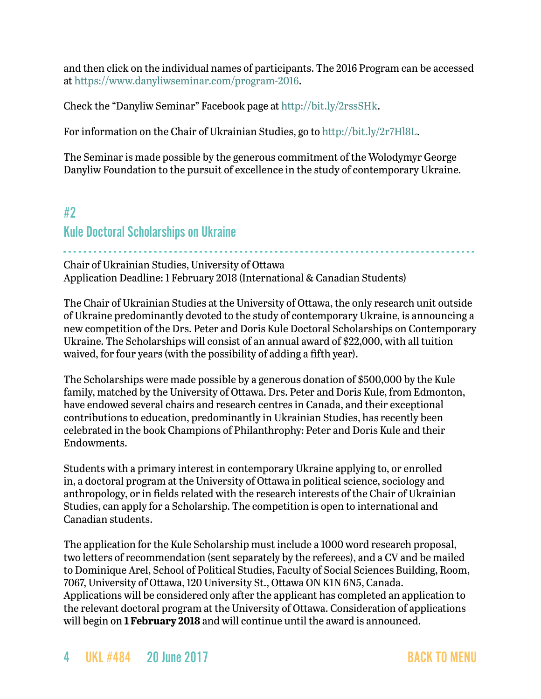and then click on the individual names of participants. The 2016 Program can be accessed at<https://www.danyliwseminar.com/program-2016>.

Check the "Danyliw Seminar" Facebook page at<http://bit.ly/2rssSHk>.

For information on the Chair of Ukrainian Studies, go to <http://bit.ly/2r7Hl8L>.

The Seminar is made possible by the generous commitment of the Wolodymyr George Danyliw Foundation to the pursuit of excellence in the study of contemporary Ukraine.

### <span id="page-3-0"></span>#2

### Kule Doctoral Scholarships on Ukraine

- - - - - - - - - - - - - - - - - - - - - - - - - - - - - - - - - - - - - - - - - - - - - - - - - - - - - - - - - - - - - - - - - - - - - - - - - - - - - - - - - - Chair of Ukrainian Studies, University of Ottawa Application Deadline: 1 February 2018 (International & Canadian Students)

The Chair of Ukrainian Studies at the University of Ottawa, the only research unit outside of Ukraine predominantly devoted to the study of contemporary Ukraine, is announcing a new competition of the Drs. Peter and Doris Kule Doctoral Scholarships on Contemporary Ukraine. The Scholarships will consist of an annual award of \$22,000, with all tuition waived, for four years (with the possibility of adding a fifth year).

The Scholarships were made possible by a generous donation of \$500,000 by the Kule family, matched by the University of Ottawa. Drs. Peter and Doris Kule, from Edmonton, have endowed several chairs and research centres in Canada, and their exceptional contributions to education, predominantly in Ukrainian Studies, has recently been celebrated in the book Champions of Philanthrophy: Peter and Doris Kule and their Endowments.

Students with a primary interest in contemporary Ukraine applying to, or enrolled in, a doctoral program at the University of Ottawa in political science, sociology and anthropology, or in fields related with the research interests of the Chair of Ukrainian Studies, can apply for a Scholarship. The competition is open to international and Canadian students.

The application for the Kule Scholarship must include a 1000 word research proposal, two letters of recommendation (sent separately by the referees), and a CV and be mailed to Dominique Arel, School of Political Studies, Faculty of Social Sciences Building, Room, 7067, University of Ottawa, 120 University St., Ottawa ON K1N 6N5, Canada. Applications will be considered only after the applicant has completed an application to the relevant doctoral program at the University of Ottawa. Consideration of applications will begin on **1 February 2018** and will continue until the award is announced.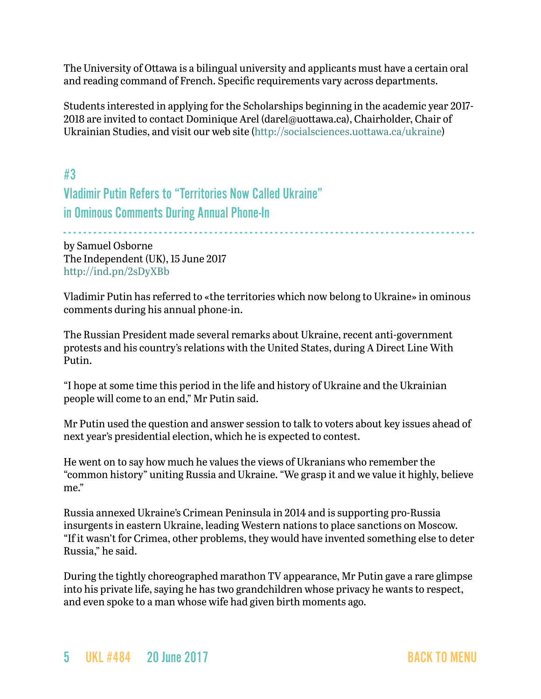The University of Ottawa is a bilingual university and applicants must have a certain oral and reading command of French. Specific requirements vary across departments.

Students interested in applying for the Scholarships beginning in the academic year 2017- 2018 are invited to contact Dominique Arel [\(darel@uottawa.ca](mailto:darel@uottawa.ca)), Chairholder, Chair of Ukrainian Studies, and visit our web site [\(http://socialsciences.uottawa.ca/ukraine](http://socialsciences.uottawa.ca/ukraine))

#3 Vladimir Putin Refers to "Territories Now Called Ukraine" in Ominous Comments During Annual Phone-In

- - - - - - - - - - - - - - - - - - - - - - - - - - - - - - - - - - - - - - - - - - - - - - - - - - - - - - - - - - - - - - - - - - - - - - - - - - - - - - - - - -

by Samuel Osborne The Independent (UK), 15 June 2017 <http://ind.pn/2sDyXBb>

[Vladimir Putin](http://www.independent.co.uk/topic/VladimirPutin) has referred to «the territories which now belong to Ukraine» in ominous comments during his annual phone-in.

The Russian President made several remarks about Ukraine, recent anti-government protests and his country's relations with the United States, during A Direct Line With Putin.

"I hope at some time this period in the life and history of Ukraine and the Ukrainian people will come to an end," Mr Putin said.

Mr Putin used the question and answer session to talk to voters about key issues ahead of next year's presidential election, which he is expected to contest.

He went on to say how much he values the views of Ukranians who remember the "common history" uniting Russia and Ukraine. "We grasp it and we value it highly, believe me."

Russia annexed Ukraine's Crimean Peninsula in 2014 and is supporting pro-Russia insurgents in eastern Ukraine, leading Western nations to place sanctions on Moscow. "If it wasn't for Crimea, other problems, they would have invented something else to deter Russia," he said.

During the tightly choreographed marathon TV appearance, Mr Putin gave a rare glimpse into his private life, saying he has two grandchildren whose privacy he wants to respect, and even spoke to a man whose wife had given birth moments ago.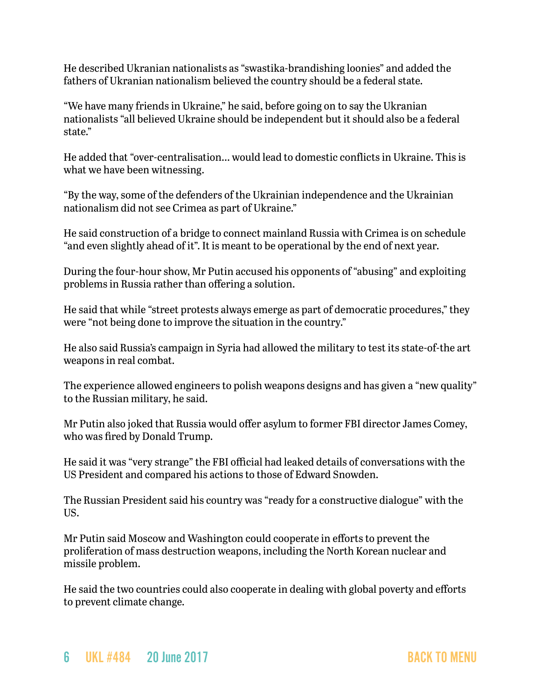He described Ukranian nationalists as "swastika-brandishing loonies" and added the fathers of Ukranian nationalism believed the country should be a federal state.

"We have many friends in Ukraine," he said, before going on to say the Ukranian nationalists "all believed Ukraine should be independent but it should also be a federal state."

He added that "over-centralisation... would lead to domestic conflicts in Ukraine. This is what we have been witnessing.

"By the way, some of the defenders of the Ukrainian independence and the Ukrainian nationalism did not see Crimea as part of Ukraine."

He said construction of a bridge to connect mainland Russia with Crimea is on schedule "and even slightly ahead of it". It is meant to be operational by the end of next year.

During the four-hour show, Mr Putin accused his opponents of "abusing" and exploiting problems in Russia rather than offering a solution.

He said that while "street protests always emerge as part of democratic procedures," they were "not being done to improve the situation in the country."

He also said Russia's campaign in Syria had allowed the military to test its state-of-the art weapons in real combat.

The experience allowed engineers to polish weapons designs and has given a "new quality" to the Russian military, he said.

Mr Putin also joked that Russia would offer asylum to former FBI director James Comey, who was fired by Donald Trump.

He said it was "very strange" the FBI official had leaked details of conversations with the US President and compared his actions to those of Edward Snowden.

The Russian President said his country was "ready for a constructive dialogue" with the US.

Mr Putin said Moscow and Washington could cooperate in efforts to prevent the proliferation of mass destruction weapons, including the North Korean nuclear and missile problem.

He said the two countries could also cooperate in dealing with global poverty and efforts to prevent climate change.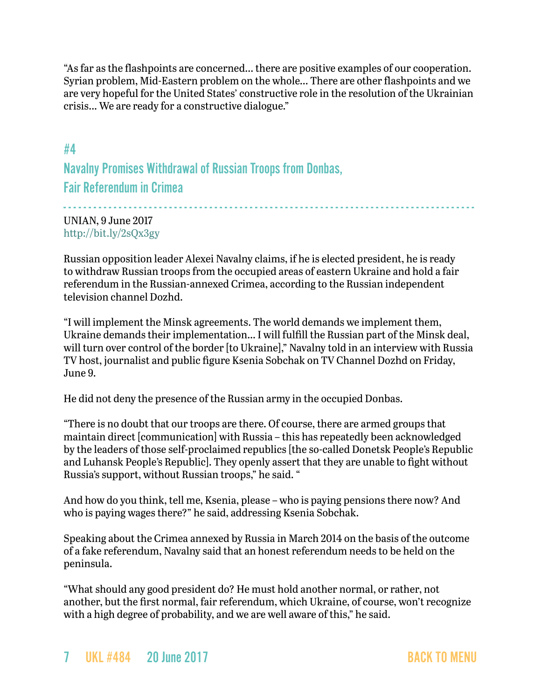"As far as the flashpoints are concerned... there are positive examples of our cooperation. Syrian problem, Mid-Eastern problem on the whole... There are other flashpoints and we are very hopeful for the United States' constructive role in the resolution of the Ukrainian crisis... We are ready for a constructive dialogue."

### <span id="page-6-0"></span>#4

Navalny Promises Withdrawal of Russian Troops from Donbas, Fair Referendum in Crimea

- - - - - - - - - - - - - - - - - - - - - - - - - - - - - - - - - - - - - - - - - - - - - - - - - - - - - - - - - - - - - - - - - - - - - - - - - - - - - - - - - - UNIAN, 9 June 2017

<http://bit.ly/2sQx3gy>

Russian opposition leader Alexei Navalny claims, if he is elected president, he is ready to withdraw Russian troops from the occupied areas of eastern Ukraine and hold a fair referendum in the Russian-annexed Crimea, according to the Russian independent television channel Dozhd.

"I will implement the Minsk agreements. The world demands we implement them, Ukraine demands their implementation… I will fulfill the Russian part of the Minsk deal, will turn over control of the border [to Ukraine]," Navalny told in an interview with Russia TV host, journalist and public figure Ksenia Sobchak on TV Channel Dozhd on Friday, June 9.

He did not deny the presence of the Russian army in the occupied Donbas.

"There is no doubt that our troops are there. Of course, there are armed groups that maintain direct [communication] with Russia – this has repeatedly been acknowledged by the leaders of those self-proclaimed republics [the so-called Donetsk People's Republic and Luhansk People's Republic]. They openly assert that they are unable to fight without Russia's support, without Russian troops," he said. "

And how do you think, tell me, Ksenia, please – who is paying pensions there now? And who is paying wages there?" he said, addressing Ksenia Sobchak.

Speaking about the Crimea annexed by Russia in March 2014 on the basis of the outcome of a fake referendum, Navalny said that an honest referendum needs to be held on the peninsula.

"What should any good president do? He must hold another normal, or rather, not another, but the first normal, fair referendum, which Ukraine, of course, won't recognize with a high degree of probability, and we are well aware of this," he said.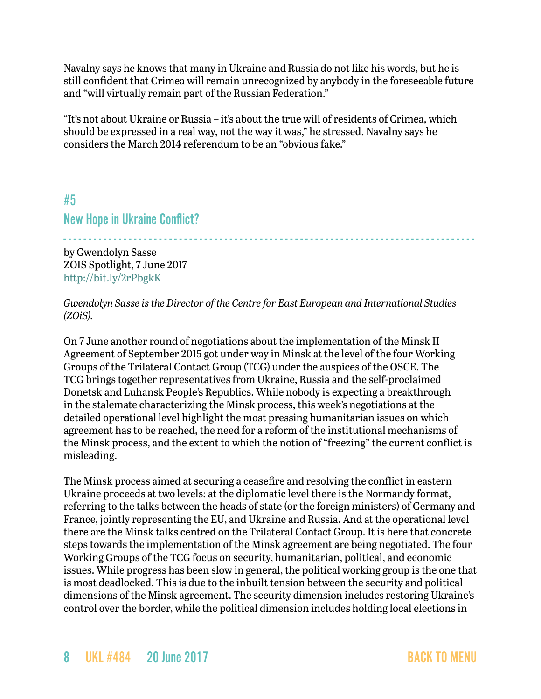Navalny says he knows that many in Ukraine and Russia do not like his words, but he is still confident that Crimea will remain unrecognized by anybody in the foreseeable future and "will virtually remain part of the Russian Federation."

"It's not about Ukraine or Russia – it's about the true will of residents of Crimea, which should be expressed in a real way, not the way it was," he stressed. Navalny says he considers the March 2014 referendum to be an "obvious fake."

## <span id="page-7-0"></span>#5 New Hope in Ukraine Conflict?

- - - - - - - - - - - - - - - - - - - - - - - - - - - - - - - - - - - - - - - - - - - - - - - - - - - - - - - - - - - - - - - - - - - - - - - - - - - - - - - - - -

by Gwendolyn Sasse ZOIS Spotlight, 7 June 2017 <http://bit.ly/2rPbgkK>

*Gwendolyn Sasse is the Director of the Centre for East European and International Studies (ZOiS).*

On 7 June another round of negotiations about the implementation of the Minsk II Agreement of September 2015 got under way in Minsk at the level of the four Working Groups of the Trilateral Contact Group (TCG) under the auspices of the OSCE. The TCG brings together representatives from Ukraine, Russia and the self-proclaimed Donetsk and Luhansk People's Republics. While nobody is expecting a breakthrough in the stalemate characterizing the Minsk process, this week's negotiations at the detailed operational level highlight the most pressing humanitarian issues on which agreement has to be reached, the need for a reform of the institutional mechanisms of the Minsk process, and the extent to which the notion of "freezing" the current conflict is misleading.

The Minsk process aimed at securing a ceasefire and resolving the conflict in eastern Ukraine proceeds at two levels: at the diplomatic level there is the Normandy format, referring to the talks between the heads of state (or the foreign ministers) of Germany and France, jointly representing the EU, and Ukraine and Russia. And at the operational level there are the Minsk talks centred on the Trilateral Contact Group. It is here that concrete steps towards the implementation of the Minsk agreement are being negotiated. The four Working Groups of the TCG focus on security, humanitarian, political, and economic issues. While progress has been slow in general, the political working group is the one that is most deadlocked. This is due to the inbuilt tension between the security and political dimensions of the Minsk agreement. The security dimension includes restoring Ukraine's control over the border, while the political dimension includes holding local elections in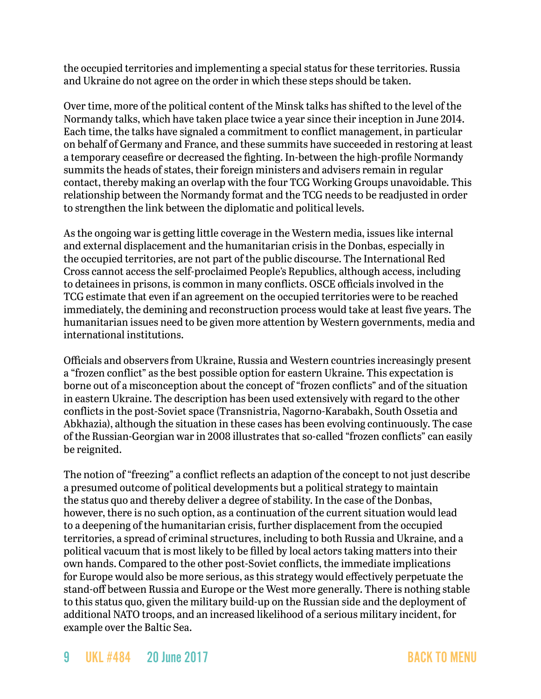the occupied territories and implementing a special status for these territories. Russia and Ukraine do not agree on the order in which these steps should be taken.

Over time, more of the political content of the Minsk talks has shifted to the level of the Normandy talks, which have taken place twice a year since their inception in June 2014. Each time, the talks have signaled a commitment to conflict management, in particular on behalf of Germany and France, and these summits have succeeded in restoring at least a temporary ceasefire or decreased the fighting. In-between the high-profile Normandy summits the heads of states, their foreign ministers and advisers remain in regular contact, thereby making an overlap with the four TCG Working Groups unavoidable. This relationship between the Normandy format and the TCG needs to be readjusted in order to strengthen the link between the diplomatic and political levels.

As the ongoing war is getting little coverage in the Western media, issues like internal and external displacement and the humanitarian crisis in the Donbas, especially in the occupied territories, are not part of the public discourse. The International Red Cross cannot access the self-proclaimed People's Republics, although access, including to detainees in prisons, is common in many conflicts. OSCE officials involved in the TCG estimate that even if an agreement on the occupied territories were to be reached immediately, the demining and reconstruction process would take at least five years. The humanitarian issues need to be given more attention by Western governments, media and international institutions.

Officials and observers from Ukraine, Russia and Western countries increasingly present a "frozen conflict" as the best possible option for eastern Ukraine. This expectation is borne out of a misconception about the concept of "frozen conflicts" and of the situation in eastern Ukraine. The description has been used extensively with regard to the other conflicts in the post-Soviet space (Transnistria, Nagorno-Karabakh, South Ossetia and Abkhazia), although the situation in these cases has been evolving continuously. The case of the Russian-Georgian war in 2008 illustrates that so-called "frozen conflicts" can easily be reignited.

The notion of "freezing" a conflict reflects an adaption of the concept to not just describe a presumed outcome of political developments but a political strategy to maintain the status quo and thereby deliver a degree of stability. In the case of the Donbas, however, there is no such option, as a continuation of the current situation would lead to a deepening of the humanitarian crisis, further displacement from the occupied territories, a spread of criminal structures, including to both Russia and Ukraine, and a political vacuum that is most likely to be filled by local actors taking matters into their own hands. Compared to the other post-Soviet conflicts, the immediate implications for Europe would also be more serious, as this strategy would effectively perpetuate the stand-off between Russia and Europe or the West more generally. There is nothing stable to this status quo, given the military build-up on the Russian side and the deployment of additional NATO troops, and an increased likelihood of a serious military incident, for example over the Baltic Sea.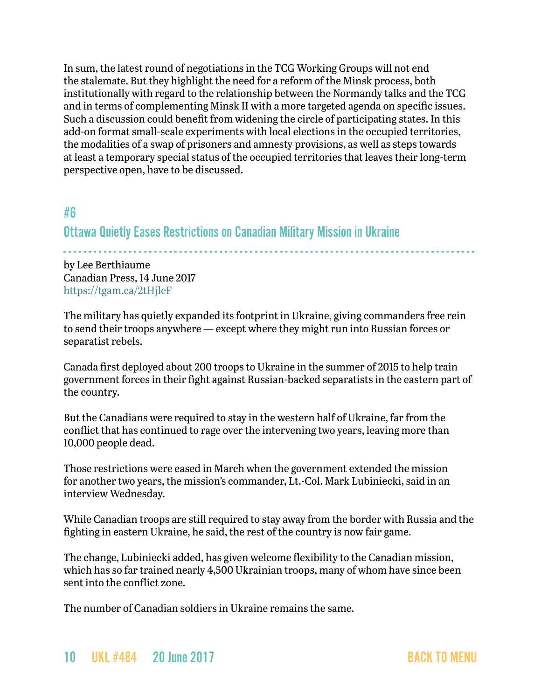In sum, the latest round of negotiations in the TCG Working Groups will not end the stalemate. But they highlight the need for a reform of the Minsk process, both institutionally with regard to the relationship between the Normandy talks and the TCG and in terms of complementing Minsk II with a more targeted agenda on specific issues. Such a discussion could benefit from widening the circle of participating states. In this add-on format small-scale experiments with local elections in the occupied territories, the modalities of a swap of prisoners and amnesty provisions, as well as steps towards at least a temporary special status of the occupied territories that leaves their long-term perspective open, have to be discussed.

### <span id="page-9-0"></span>#6

## Ottawa Quietly Eases Restrictions on Canadian Military Mission in Ukraine

- - - - - - - - - - - - - - - - - - - - - - - - - - - - - - - - - - - - - - - - - - - - - - - - - - - - - - - - - - - - - - - - - - - - - - - - - - - - - - - - - by Lee Berthiaume Canadian Press, 14 June 2017 <https://tgam.ca/2tHjlcF>

The military has quietly expanded its footprint in Ukraine, giving commanders free rein to send their troops anywhere — except where they might run into Russian forces or separatist rebels.

Canada first deployed about 200 troops to Ukraine in the summer of 2015 to help train government forces in their fight against Russian-backed separatists in the eastern part of the country.

But the Canadians were required to stay in the western half of Ukraine, far from the conflict that has continued to rage over the intervening two years, leaving more than 10,000 people dead.

Those restrictions were eased in March when the government extended the mission for another two years, the mission's commander, Lt.-Col. Mark Lubiniecki, said in an interview Wednesday.

While Canadian troops are still required to stay away from the border with Russia and the fighting in eastern Ukraine, he said, the rest of the country is now fair game.

The change, Lubiniecki added, has given welcome flexibility to the Canadian mission, which has so far trained nearly 4,500 Ukrainian troops, many of whom have since been sent into the conflict zone.

The number of Canadian soldiers in Ukraine remains the same.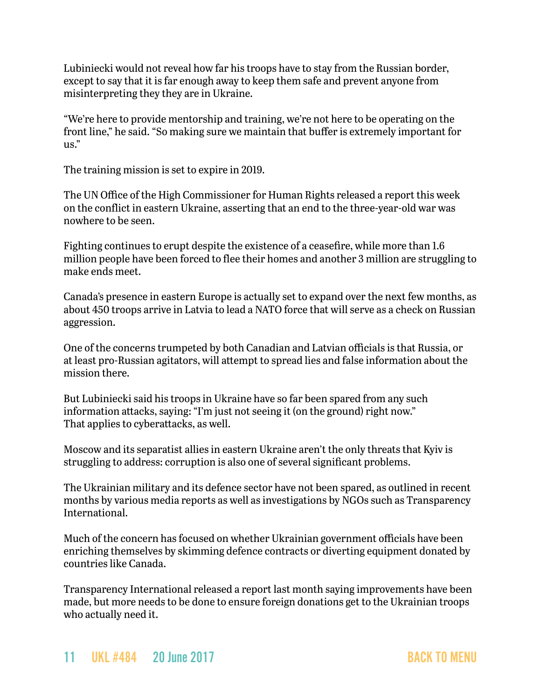Lubiniecki would not reveal how far his troops have to stay from the Russian border, except to say that it is far enough away to keep them safe and prevent anyone from misinterpreting they they are in Ukraine.

"We're here to provide mentorship and training, we're not here to be operating on the front line," he said. "So making sure we maintain that buffer is extremely important for us."

The training mission is set to expire in 2019.

The UN Office of the High Commissioner for Human Rights released a report this week on the conflict in eastern Ukraine, asserting that an end to the three-year-old war was nowhere to be seen.

Fighting continues to erupt despite the existence of a ceasefire, while more than 1.6 million people have been forced to flee their homes and another 3 million are struggling to make ends meet.

Canada's presence in eastern Europe is actually set to expand over the next few months, as about 450 troops arrive in Latvia to lead a NATO force that will serve as a check on Russian aggression.

One of the concerns trumpeted by both Canadian and Latvian officials is that Russia, or at least pro-Russian agitators, will attempt to spread lies and false information about the mission there.

But Lubiniecki said his troops in Ukraine have so far been spared from any such information attacks, saying: "I'm just not seeing it (on the ground) right now." That applies to cyberattacks, as well.

Moscow and its separatist allies in eastern Ukraine aren't the only threats that Kyiv is struggling to address: corruption is also one of several significant problems.

The Ukrainian military and its defence sector have not been spared, as outlined in recent months by various media reports as well as investigations by NGOs such as Transparency International.

Much of the concern has focused on whether Ukrainian government officials have been enriching themselves by skimming defence contracts or diverting equipment donated by countries like Canada.

Transparency International released a report last month saying improvements have been made, but more needs to be done to ensure foreign donations get to the Ukrainian troops who actually need it.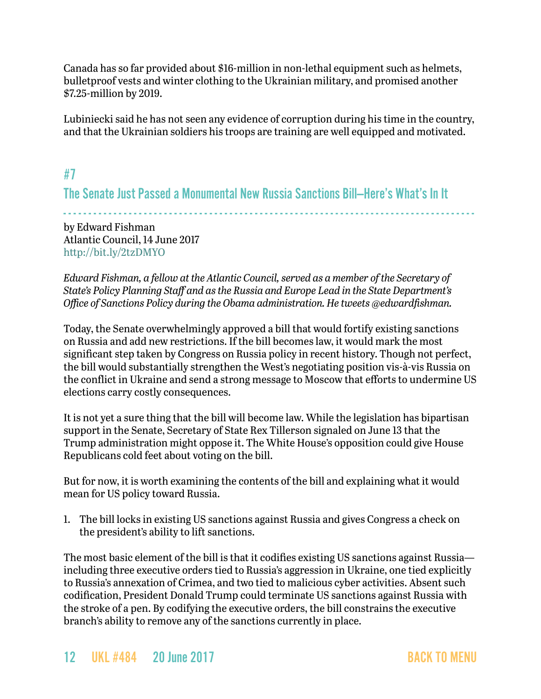Canada has so far provided about \$16-million in non-lethal equipment such as helmets, bulletproof vests and winter clothing to the Ukrainian military, and promised another \$7.25-million by 2019.

Lubiniecki said he has not seen any evidence of corruption during his time in the country, and that the Ukrainian soldiers his troops are training are well equipped and motivated.

#7

The Senate Just Passed a Monumental New Russia Sanctions Bill—Here's What's In It

- - - - - - - - - - - - - - - - - - - - - - - - - - - - - - - - - - - - - - - - - - - - - - - - - - - - - - - - - - - - - - - - - - - - - - - - - - - - - - - - - by Edward Fishman Atlantic Council, 14 June 2017 <http://bit.ly/2tzDMYO>

*Edward Fishman, a fellow at the Atlantic Council, served as a member of the Secretary of State's Policy Planning Staff and as the Russia and Europe Lead in the State Department's Office of Sanctions Policy during the Obama administration. He tweets @edwardfishman.*

Today, the Senate overwhelmingly approved a bill that would fortify existing sanctions on Russia and add new restrictions. If the bill becomes law, it would mark the most significant step taken by Congress on Russia policy in recent history. Though not perfect, the bill would substantially strengthen the West's negotiating position vis-à-vis Russia on the conflict in Ukraine and send a strong message to Moscow that efforts to undermine US elections carry costly consequences.

It is not yet a sure thing that the bill will become law. While the legislation has bipartisan support in the Senate, Secretary of State Rex Tillerson signaled on June 13 that the Trump administration might oppose it. The White House's opposition could give House Republicans cold feet about voting on the bill.

But for now, it is worth examining the contents of the bill and explaining what it would mean for US policy toward Russia.

1. The bill locks in existing US sanctions against Russia and gives Congress a check on the president's ability to lift sanctions.

The most basic element of the bill is that it codifies existing US sanctions against Russia including three executive orders tied to Russia's aggression in Ukraine, one tied explicitly to Russia's annexation of Crimea, and two tied to malicious cyber activities. Absent such codification, President Donald Trump could terminate US sanctions against Russia with the stroke of a pen. By codifying the executive orders, the bill constrains the executive branch's ability to remove any of the sanctions currently in place.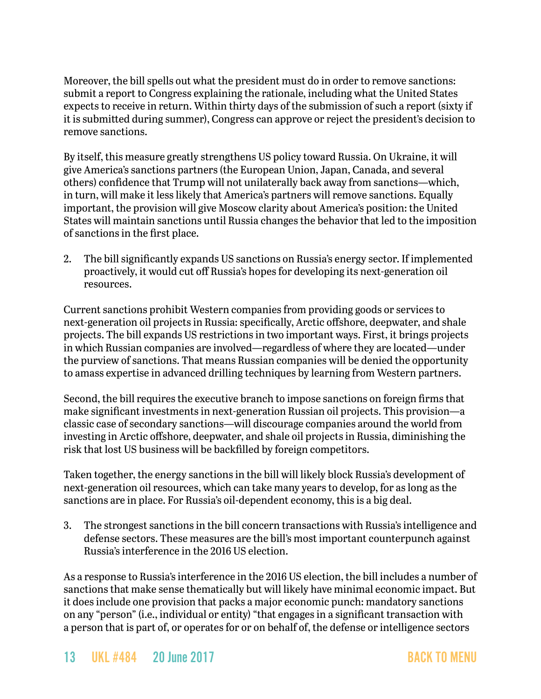Moreover, the bill spells out what the president must do in order to remove sanctions: submit a report to Congress explaining the rationale, including what the United States expects to receive in return. Within thirty days of the submission of such a report (sixty if it is submitted during summer), Congress can approve or reject the president's decision to remove sanctions.

By itself, this measure greatly strengthens US policy toward Russia. On Ukraine, it will give America's sanctions partners (the European Union, Japan, Canada, and several others) confidence that Trump will not unilaterally back away from sanctions—which, in turn, will make it less likely that America's partners will remove sanctions. Equally important, the provision will give Moscow clarity about America's position: the United States will maintain sanctions until Russia changes the behavior that led to the imposition of sanctions in the first place.

2. The bill significantly expands US sanctions on Russia's energy sector. If implemented proactively, it would cut off Russia's hopes for developing its next-generation oil resources.

Current sanctions prohibit Western companies from providing goods or services to next-generation oil projects in Russia: specifically, Arctic offshore, deepwater, and shale projects. The bill expands US restrictions in two important ways. First, it brings projects in which Russian companies are involved—regardless of where they are located—under the purview of sanctions. That means Russian companies will be denied the opportunity to amass expertise in advanced drilling techniques by learning from Western partners.

Second, the bill requires the executive branch to impose sanctions on foreign firms that make significant investments in next-generation Russian oil projects. This provision—a classic case of secondary sanctions—will discourage companies around the world from investing in Arctic offshore, deepwater, and shale oil projects in Russia, diminishing the risk that lost US business will be backfilled by foreign competitors.

Taken together, the energy sanctions in the bill will likely block Russia's development of next-generation oil resources, which can take many years to develop, for as long as the sanctions are in place. For Russia's oil-dependent economy, this is a big deal.

3. The strongest sanctions in the bill concern transactions with Russia's intelligence and defense sectors. These measures are the bill's most important counterpunch against Russia's interference in the 2016 US election.

As a response to Russia's interference in the 2016 US election, the bill includes a number of sanctions that make sense thematically but will likely have minimal economic impact. But it does include one provision that packs a major economic punch: mandatory sanctions on any "person" (i.e., individual or entity) "that engages in a significant transaction with a person that is part of, or operates for or on behalf of, the defense or intelligence sectors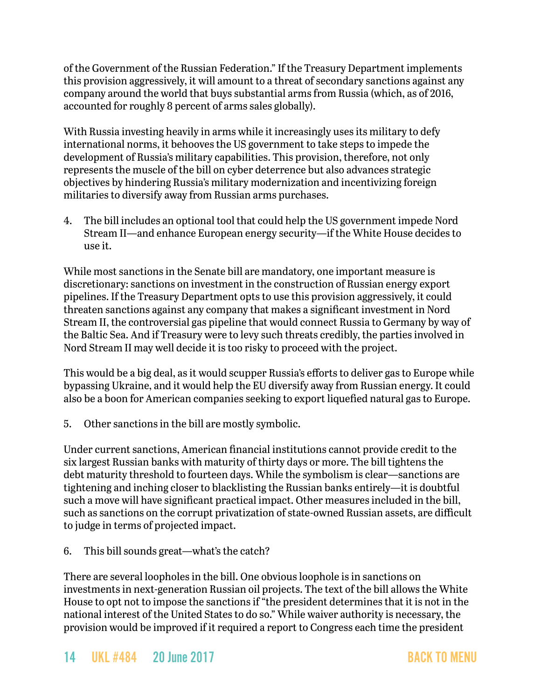of the Government of the Russian Federation." If the Treasury Department implements this provision aggressively, it will amount to a threat of secondary sanctions against any company around the world that buys substantial arms from Russia (which, as of 2016, accounted for roughly [8 percent](http://money.cnn.com/2016/12/05/news/economy/arms-sales-russia-u-s-/index.html) of arms sales globally).

With Russia investing heavily in arms while it increasingly uses its military to defy international norms, it behooves the US government to take steps to impede the development of Russia's military capabilities. This provision, therefore, not only represents the muscle of the bill on cyber deterrence but also advances strategic objectives by hindering Russia's military modernization and incentivizing foreign militaries to diversify away from Russian arms purchases.

4. The bill includes an optional tool that could help the US government impede Nord Stream II—and enhance European energy security—if the White House decides to use it.

While most sanctions in the Senate bill are mandatory, one important measure is discretionary: sanctions on investment in the construction of Russian energy export pipelines. If the Treasury Department opts to use this provision aggressively, it could threaten sanctions against any company that makes a significant investment in Nord Stream II, the controversial gas pipeline that would connect Russia to Germany by way of the Baltic Sea. And if Treasury were to levy such threats credibly, the parties involved in Nord Stream II may well decide it is too risky to proceed with the project.

This would be a big deal, as it would scupper Russia's efforts to deliver gas to Europe while bypassing Ukraine, and it would help the EU diversify away from Russian energy. It could also be a boon for American companies seeking to export liquefied natural gas to Europe.

5. Other sanctions in the bill are mostly symbolic.

Under current sanctions, American financial institutions cannot provide credit to the six largest Russian banks with maturity of thirty days or more. The bill tightens the debt maturity threshold to fourteen days. While the symbolism is clear—sanctions are tightening and inching closer to blacklisting the Russian banks entirely—it is doubtful such a move will have significant practical impact. Other measures included in the bill, such as sanctions on the corrupt privatization of state-owned Russian assets, are difficult to judge in terms of projected impact.

6. This bill sounds great—what's the catch?

There are several loopholes in the bill. One obvious loophole is in sanctions on investments in next-generation Russian oil projects. The text of the bill allows the White House to opt not to impose the sanctions if "the president determines that it is not in the national interest of the United States to do so." While waiver authority is necessary, the provision would be improved if it required a report to Congress each time the president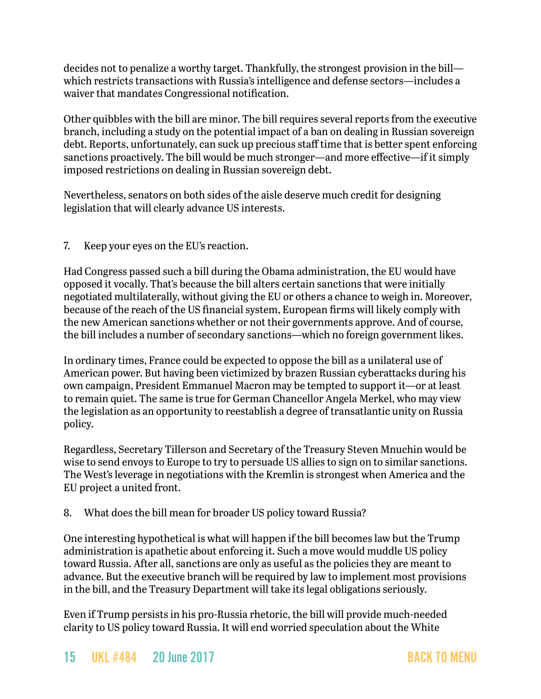decides not to penalize a worthy target. Thankfully, the strongest provision in the bill which restricts transactions with Russia's intelligence and defense sectors—includes a waiver that mandates Congressional notification.

Other quibbles with the bill are minor. The bill requires several reports from the executive branch, including a study on the potential impact of a ban on dealing in Russian sovereign debt. Reports, unfortunately, can suck up precious staff time that is better spent enforcing sanctions proactively. The bill would be much stronger—and more effective—if it simply imposed restrictions on dealing in Russian sovereign debt.

Nevertheless, senators on both sides of the aisle deserve much credit for designing legislation that will clearly advance US interests.

### 7. Keep your eyes on the EU's reaction.

Had Congress passed such a bill during the Obama administration, the EU would have opposed it vocally. That's because the bill alters certain sanctions that were initially negotiated multilaterally, without giving the EU or others a chance to weigh in. Moreover, because of the reach of the US financial system, European firms will likely comply with the new American sanctions whether or not their governments approve. And of course, the bill includes a number of secondary sanctions—which no foreign government likes.

In ordinary times, France could be expected to oppose the bill as a unilateral use of American power. But having been victimized by brazen Russian cyberattacks during his own campaign, President Emmanuel Macron may be tempted to support it—or at least to remain quiet. The same is true for German Chancellor Angela Merkel, who may view the legislation as an opportunity to reestablish a degree of transatlantic unity on Russia policy.

Regardless, Secretary Tillerson and Secretary of the Treasury Steven Mnuchin would be wise to send envoys to Europe to try to persuade US allies to sign on to similar sanctions. The West's leverage in negotiations with the Kremlin is strongest when America and the EU project a united front.

### 8. What does the bill mean for broader US policy toward Russia?

One interesting hypothetical is what will happen if the bill becomes law but the Trump administration is apathetic about enforcing it. Such a move would muddle US policy toward Russia. After all, sanctions are only as useful as the policies they are meant to advance. But the executive branch will be required by law to implement most provisions in the bill, and the Treasury Department will take its legal obligations seriously.

Even if Trump persists in his pro-Russia rhetoric, the bill will provide much-needed clarity to US policy toward Russia. It will end worried speculation about the White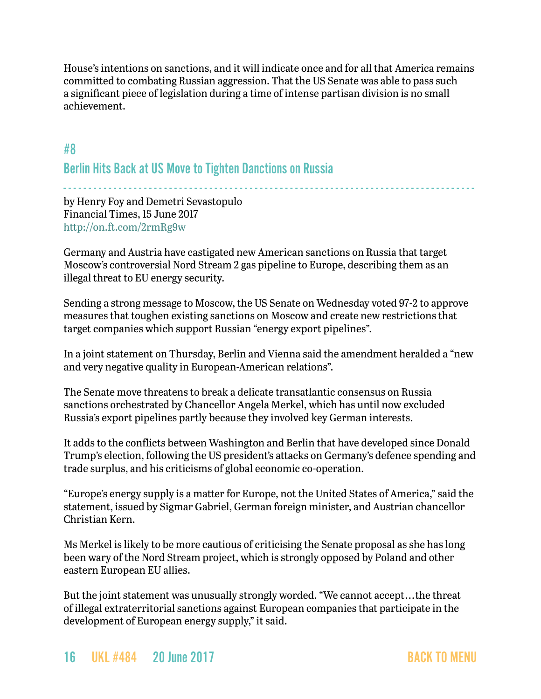House's intentions on sanctions, and it will indicate once and for all that America remains committed to combating Russian aggression. That the US Senate was able to pass such a significant piece of legislation during a time of intense partisan division is no small achievement.

## <span id="page-15-0"></span>#8

## Berlin Hits Back at US Move to Tighten Danctions on Russia

- - - - - - - - - - - - - - - - - - - - - - - - - - - - - - - - - - - - - - - - - - - - - - - - - - - - - - - - - - - - - - - - - - - - - - - - - - - - - - - - - by Henry Foy and Demetri Sevastopulo Financial Times, 15 June 2017 <http://on.ft.com/2rmRg9w>

Germany and Austria have castigated new American sanctions on Russia that target Moscow's controversial Nord Stream 2 gas pipeline to Europe, describing them as an illegal threat to EU energy security.

Sending a strong message to Moscow, the US Senate on Wednesday voted 97-2 to approve measures that toughen existing sanctions on Moscow and create new restrictions that target companies which support Russian "energy export pipelines".

In a joint statement on Thursday, Berlin and Vienna said the amendment heralded a "new and very negative quality in European-American relations".

The Senate move threatens to break a delicate transatlantic consensus on Russia sanctions orchestrated by Chancellor Angela Merkel, which has until now excluded Russia's export pipelines partly because they involved key German interests.

It adds to the conflicts between Washington and Berlin that have developed since Donald Trump's election, following the US president's attacks on Germany's defence spending and trade surplus, and his criticisms of global economic co-operation.

"Europe's energy supply is a matter for Europe, not the United States of America," said the statement, issued by Sigmar Gabriel, German foreign minister, and Austrian chancellor Christian Kern.

Ms Merkel is likely to be more cautious of criticising the Senate proposal as she has long been wary of the Nord Stream project, which is strongly opposed by Poland and other eastern European EU allies.

But the joint statement was unusually strongly worded. "We cannot accept...the threat of illegal extraterritorial sanctions against European companies that participate in the development of European energy supply," it said.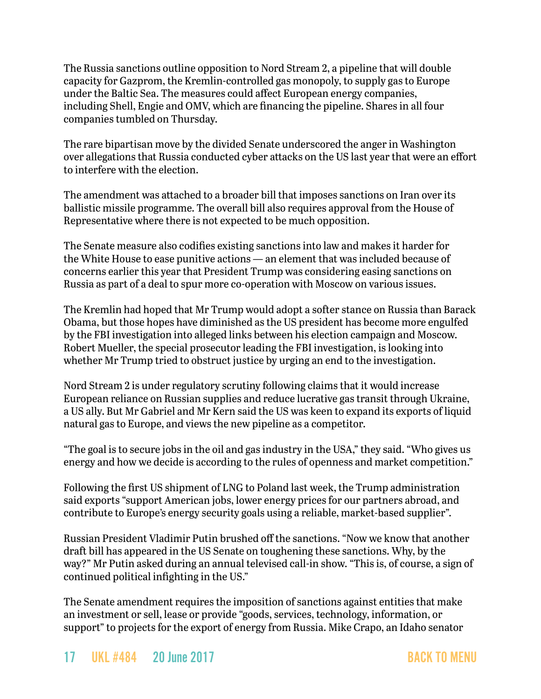The Russia sanctions outline opposition to Nord Stream 2, a pipeline that will double capacity for Gazprom, the Kremlin-controlled gas monopoly, to supply gas to Europe under the Baltic Sea. The measures could affect European energy companies, including Shell, Engie and OMV, which are financing the pipeline. Shares in all four companies tumbled on Thursday.

The rare bipartisan move by the divided Senate underscored the anger in Washington over allegations that Russia conducted cyber attacks on the US last year that were an effort to interfere with the election.

The amendment was attached to a broader bill that imposes sanctions on Iran over its ballistic missile programme. The overall bill also requires approval from the House of Representative where there is not expected to be much opposition.

The Senate measure also codifies existing sanctions into law and makes it harder for the White House to ease punitive actions — an element that was included because of concerns earlier this year that President Trump was considering easing sanctions on Russia as part of a deal to spur more co-operation with Moscow on various issues.

The Kremlin had hoped that Mr Trump would adopt a softer stance on Russia than Barack Obama, but those hopes have diminished as the US president has become more engulfed by the FBI investigation into alleged links between his election campaign and Moscow. Robert Mueller, the special prosecutor leading the FBI investigation, is looking into whether Mr Trump tried to obstruct justice by urging an end to the investigation.

Nord Stream 2 is under regulatory scrutiny following claims that it would increase European reliance on Russian supplies and reduce lucrative gas transit through Ukraine, a US ally. But Mr Gabriel and Mr Kern said the US was keen to expand its exports of liquid natural gas to Europe, and views the new pipeline as a competitor.

"The goal is to secure jobs in the oil and gas industry in the USA," they said. "Who gives us energy and how we decide is according to the rules of openness and market competition."

Following the first US shipment of LNG to Poland last week, the Trump administration said exports "support American jobs, lower energy prices for our partners abroad, and contribute to Europe's energy security goals using a reliable, market-based supplier".

Russian President Vladimir Putin brushed off the sanctions. "Now we know that another draft bill has appeared in the US Senate on toughening these sanctions. Why, by the way?" Mr Putin asked during an annual televised call-in show. "This is, of course, a sign of continued political infighting in the US."

The Senate amendment requires the imposition of sanctions against entities that make an investment or sell, lease or provide "goods, services, technology, information, or support" to projects for the export of energy from Russia. Mike Crapo, an Idaho senator

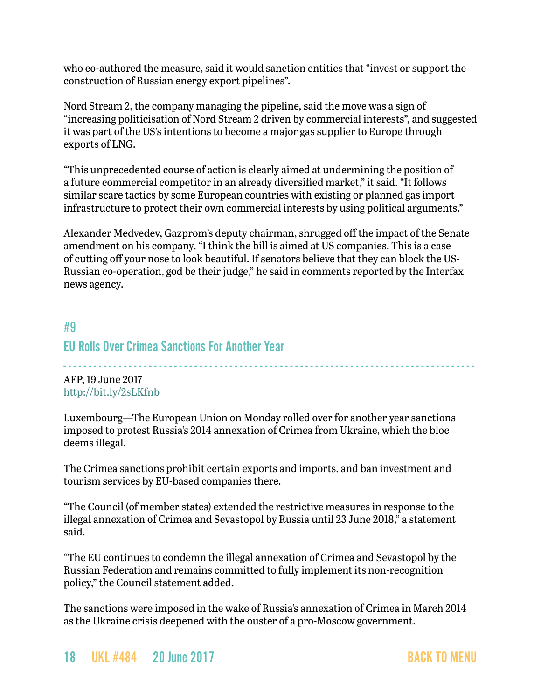who co-authored the measure, said it would sanction entities that "invest or support the construction of Russian energy export pipelines".

Nord Stream 2, the company managing the pipeline, said the move was a sign of "increasing politicisation of Nord Stream 2 driven by commercial interests", and suggested it was part of the US's intentions to become a major gas supplier to Europe through exports of LNG.

"This unprecedented course of action is clearly aimed at undermining the position of a future commercial competitor in an already diversified market," it said. "It follows similar scare tactics by some European countries with existing or planned gas import infrastructure to protect their own commercial interests by using political arguments."

Alexander Medvedev, Gazprom's deputy chairman, shrugged off the impact of the Senate amendment on his company. "I think the bill is aimed at US companies. This is a case of cutting off your nose to look beautiful. If senators believe that they can block the US-Russian co-operation, god be their judge," he said in comments reported by the Interfax news agency.

## <span id="page-17-0"></span>#9 EU Rolls Over Crimea Sanctions For Another Year

- - - - - - - - - - - - - - - - - - - - - - - - - - - - - - - - - - - - - - - - - - - - - - - - - - - - - - - - - - - - - - - - - - - - - - - - - - - - - - - - - - AFP, 19 June 2017 <http://bit.ly/2sLKfnb>

Luxembourg—The European Union on Monday rolled over for another year sanctions imposed to protest Russia's 2014 annexation of Crimea from Ukraine, which the bloc deems illegal.

The Crimea sanctions prohibit certain exports and imports, and ban investment and tourism services by EU-based companies there.

"The Council (of member states) extended the restrictive measures in response to the illegal annexation of Crimea and Sevastopol by Russia until 23 June 2018," a statement said.

"The EU continues to condemn the illegal annexation of Crimea and Sevastopol by the Russian Federation and remains committed to fully implement its non-recognition policy," the Council statement added.

The sanctions were imposed in the wake of Russia's annexation of Crimea in March 2014 as the Ukraine crisis deepened with the ouster of a pro-Moscow government.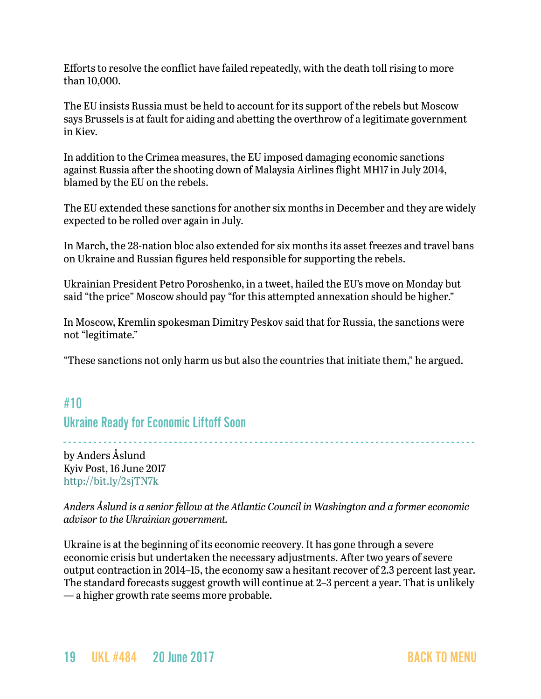Efforts to resolve the conflict have failed repeatedly, with the death toll rising to more than 10,000.

The EU insists Russia must be held to account for its support of the rebels but Moscow says Brussels is at fault for aiding and abetting the overthrow of a legitimate government in Kiev.

In addition to the Crimea measures, the EU imposed damaging economic sanctions against Russia after the shooting down of Malaysia Airlines flight MH17 in July 2014, blamed by the EU on the rebels.

The EU extended these sanctions for another six months in December and they are widely expected to be rolled over again in July.

In March, the 28-nation bloc also extended for six months its asset freezes and travel bans on Ukraine and Russian figures held responsible for supporting the rebels.

Ukrainian President Petro Poroshenko, in a tweet, hailed the EU's move on Monday but said "the price" Moscow should pay "for this attempted annexation should be higher."

In Moscow, Kremlin spokesman Dimitry Peskov said that for Russia, the sanctions were not "legitimate."

"These sanctions not only harm us but also the countries that initiate them," he argued.

## <span id="page-18-0"></span>#10 Ukraine Ready for Economic Liftoff Soon

- - - - - - - - - - - - - - - - - - - - - - - - - - - - - - - - - - - - - - - - - - - - - - - - - - - - - - - - - - - - - - - - - - - - - - - - - - - - - - - - - by Anders Åslund Kyiv Post, 16 June 2017 <http://bit.ly/2sjTN7k>

*Anders Åslund is a senior fellow at the Atlantic Council in Washington and a former economic advisor to the Ukrainian government.*

Ukraine is at the beginning of its economic recovery. It has gone through a severe economic crisis but undertaken the necessary adjustments. After two years of severe output contraction in 2014–15, the economy saw a hesitant recover of 2.3 percent last year. The standard forecasts suggest growth will continue at 2–3 percent a year. That is unlikely — a higher growth rate seems more probable.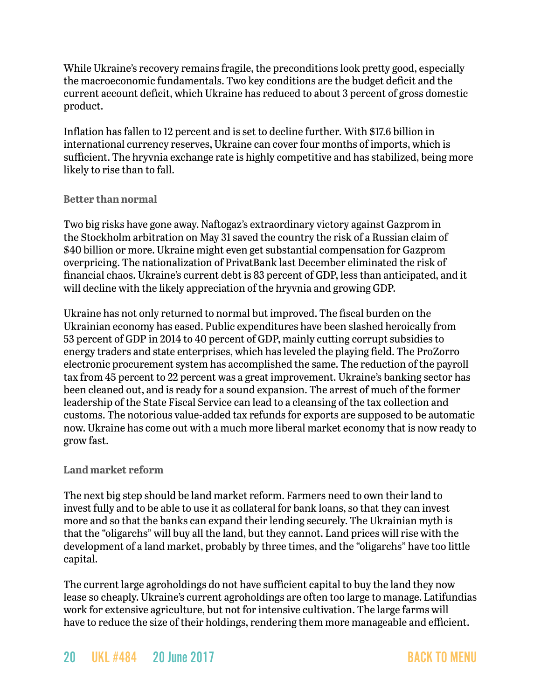While Ukraine's recovery remains fragile, the preconditions look pretty good, especially the macroeconomic fundamentals. Two key conditions are the budget deficit and the current account deficit, which Ukraine has reduced to about 3 percent of gross domestic product.

Inflation has fallen to 12 percent and is set to decline further. With \$17.6 billion in international currency reserves, Ukraine can cover four months of imports, which is sufficient. The hryvnia exchange rate is highly competitive and has stabilized, being more likely to rise than to fall.

#### **Better than normal**

Two big risks have gone away. Naftogaz's extraordinary victory against Gazprom in the Stockholm arbitration on May 31 saved the country the risk of a Russian claim of \$40 billion or more. Ukraine might even get substantial compensation for Gazprom overpricing. The nationalization of PrivatBank last December eliminated the risk of financial chaos. Ukraine's current debt is 83 percent of GDP, less than anticipated, and it will decline with the likely appreciation of the hryvnia and growing GDP.

Ukraine has not only returned to normal but improved. The fiscal burden on the Ukrainian economy has eased. Public expenditures have been slashed heroically from 53 percent of GDP in 2014 to 40 percent of GDP, mainly cutting corrupt subsidies to energy traders and state enterprises, which has leveled the playing field. The ProZorro electronic procurement system has accomplished the same. The reduction of the payroll tax from 45 percent to 22 percent was a great improvement. Ukraine's banking sector has been cleaned out, and is ready for a sound expansion. The arrest of much of the former leadership of the State Fiscal Service can lead to a cleansing of the tax collection and customs. The notorious value-added tax refunds for exports are supposed to be automatic now. Ukraine has come out with a much more liberal market economy that is now ready to grow fast.

### **Land market reform**

The next big step should be land market reform. Farmers need to own their land to invest fully and to be able to use it as collateral for bank loans, so that they can invest more and so that the banks can expand their lending securely. The Ukrainian myth is that the "oligarchs" will buy all the land, but they cannot. Land prices will rise with the development of a land market, probably by three times, and the "oligarchs" have too little capital.

The current large agroholdings do not have sufficient capital to buy the land they now lease so cheaply. Ukraine's current agroholdings are often too large to manage. Latifundias work for extensive agriculture, but not for intensive cultivation. The large farms will have to reduce the size of their holdings, rendering them more manageable and efficient.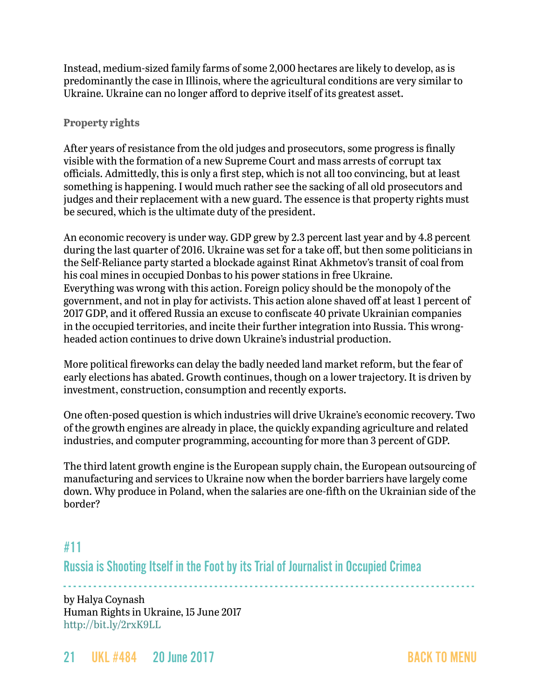Instead, medium-sized family farms of some 2,000 hectares are likely to develop, as is predominantly the case in Illinois, where the agricultural conditions are very similar to Ukraine. Ukraine can no longer afford to deprive itself of its greatest asset.

### **Property rights**

After years of resistance from the old judges and prosecutors, some progress is finally visible with the formation of a new Supreme Court and mass arrests of corrupt tax officials. Admittedly, this is only a first step, which is not all too convincing, but at least something is happening. I would much rather see the sacking of all old prosecutors and judges and their replacement with a new guard. The essence is that property rights must be secured, which is the ultimate duty of the president.

An economic recovery is under way. GDP grew by 2.3 percent last year and by 4.8 percent during the last quarter of 2016. Ukraine was set for a take off, but then some politicians in the Self-Reliance party started a blockade against Rinat Akhmetov's transit of coal from his coal mines in occupied Donbas to his power stations in free Ukraine. Everything was wrong with this action. Foreign policy should be the monopoly of the government, and not in play for activists. This action alone shaved off at least 1 percent of 2017 GDP, and it offered Russia an excuse to confiscate 40 private Ukrainian companies in the occupied territories, and incite their further integration into Russia. This wrongheaded action continues to drive down Ukraine's industrial production.

More political fireworks can delay the badly needed land market reform, but the fear of early elections has abated. Growth continues, though on a lower trajectory. It is driven by investment, construction, consumption and recently exports.

One often-posed question is which industries will drive Ukraine's economic recovery. Two of the growth engines are already in place, the quickly expanding agriculture and related industries, and computer programming, accounting for more than 3 percent of GDP.

The third latent growth engine is the European supply chain, the European outsourcing of manufacturing and services to Ukraine now when the border barriers have largely come down. Why produce in Poland, when the salaries are one-fifth on the Ukrainian side of the border?

## <span id="page-20-0"></span>#11

Russia is Shooting Itself in the Foot by its Trial of Journalist in Occupied Crimea

- - - - - - - - - - - - - - - - - - - - - - - - - - - - - - - - - - - - - - - - - - - - - - - - - - - - - - - - - - - - - - - - - - - - - - - - - - - - - - - - - by Halya Coynash Human Rights in Ukraine, 15 June 2017 <http://bit.ly/2rxK9LL>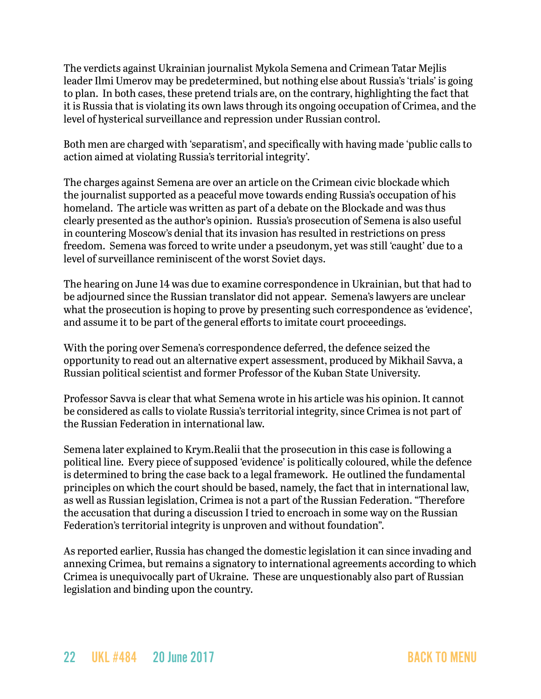The verdicts against Ukrainian journalist Mykola Semena and Crimean Tatar Mejlis leader Ilmi Umerov may be predetermined, but nothing else about Russia's 'trials' is going to plan. In both cases, these pretend trials are, on the contrary, highlighting the fact that it is Russia that is violating its own laws through its ongoing occupation of Crimea, and the level of hysterical surveillance and repression under Russian control.

Both men are charged with 'separatism', and specifically with having made 'public calls to action aimed at violating Russia's territorial integrity'.

The charges against Semena are over an article on the Crimean civic blockade which the journalist supported as a peaceful move towards ending Russia's occupation of his homeland. The article was written as part of a debate on the Blockade and was thus clearly presented as the author's opinion. Russia's prosecution of Semena is also useful in countering Moscow's denial that its invasion has resulted in restrictions on press freedom. Semena was forced to write under a pseudonym, yet was still 'caught' due to a level of surveillance reminiscent of the worst Soviet days.

The hearing on June 14 was due to examine correspondence in Ukrainian, but that had to be adjourned since the Russian translator did not appear. Semena's lawyers are unclear what the prosecution is hoping to prove by presenting such correspondence as 'evidence', and assume it to be part of the general efforts to imitate court proceedings.

With the poring over Semena's correspondence deferred, the defence seized the opportunity to read out an alternative expert assessment, produced by Mikhail Savva, a Russian political scientist and former Professor of the Kuban State University.

Professor Savva is clear that what Semena wrote in his article was his opinion. It cannot be considered as calls to violate Russia's territorial integrity, since Crimea is not part of the Russian Federation in international law.

Semena later explained to Krym.Realii that the prosecution in this case is following a political line. Every piece of supposed 'evidence' is politically coloured, while the defence is determined to bring the case back to a legal framework. He outlined the fundamental principles on which the court should be based, namely, the fact that in international law, as well as Russian legislation, Crimea is not a part of the Russian Federation. "Therefore the accusation that during a discussion I tried to encroach in some way on the Russian Federation's territorial integrity is unproven and without foundation".

As reported earlier, Russia has changed the domestic legislation it can since invading and annexing Crimea, but remains a signatory to international agreements according to which Crimea is unequivocally part of Ukraine. These are unquestionably also part of Russian legislation and binding upon the country.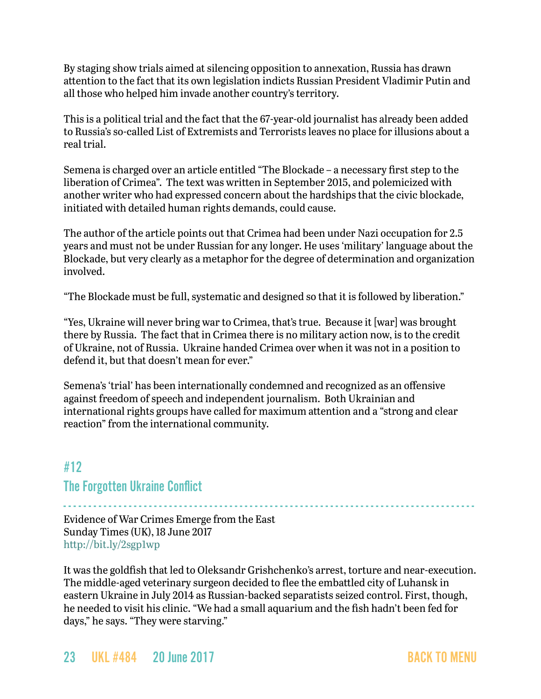By staging show trials aimed at silencing opposition to annexation, Russia has drawn attention to the fact that its own legislation indicts Russian President Vladimir Putin and all those who helped him invade another country's territory.

This is a political trial and the fact that the 67-year-old journalist has already been added to Russia's so-called List of Extremists and Terrorists leaves no place for illusions about a real trial.

Semena is charged over an article entitled "The Blockade – a necessary first step to the liberation of Crimea". The text was written in September 2015, and polemicized with another writer who had expressed concern about the hardships that the civic blockade, initiated with detailed human rights demands, could cause.

The author of the article points out that Crimea had been under Nazi occupation for 2.5 years and must not be under Russian for any longer. He uses 'military' language about the Blockade, but very clearly as a metaphor for the degree of determination and organization involved.

"The Blockade must be full, systematic and designed so that it is followed by liberation."

"Yes, Ukraine will never bring war to Crimea, that's true. Because it [war] was brought there by Russia. The fact that in Crimea there is no military action now, is to the credit of Ukraine, not of Russia. Ukraine handed Crimea over when it was not in a position to defend it, but that doesn't mean for ever."

Semena's 'trial' has been internationally condemned and recognized as an offensive against freedom of speech and independent journalism. Both Ukrainian and international rights groups have called for maximum attention and a "strong and clear reaction" from the international community.

## <span id="page-22-0"></span>#12

## The Forgotten Ukraine Conflict

- - - - - - - - - - - - - - - - - - - - - - - - - - - - - - - - - - - - - - - - - - - - - - - - - - - - - - - - - - - - - - - - - - - - - - - - - - - - - - - - - - Evidence of War Crimes Emerge from the East Sunday Times (UK), 18 June 2017 <http://bit.ly/2sgp1wp>

It was the goldfish that led to Oleksandr Grishchenko's arrest, torture and near-execution. The middle-aged veterinary surgeon decided to flee the embattled city of Luhansk in eastern Ukraine in July 2014 as Russian-backed separatists seized control. First, though, he needed to visit his clinic. "We had a small aquarium and the fish hadn't been fed for days," he says. "They were starving."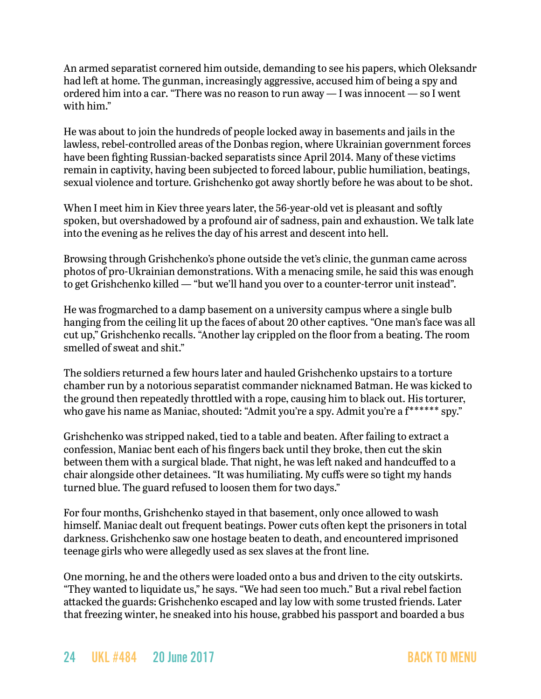An armed separatist cornered him outside, demanding to see his papers, which Oleksandr had left at home. The gunman, increasingly aggressive, accused him of being a spy and ordered him into a car. "There was no reason to run away — I was innocent — so I went with him."

He was about to join the hundreds of people locked away in basements and jails in the lawless, rebel-controlled areas of the Donbas region, where Ukrainian government forces have been fighting Russian-backed separatists since April 2014. Many of these victims remain in captivity, having been subjected to forced labour, public humiliation, beatings, sexual violence and torture. Grishchenko got away shortly before he was about to be shot.

When I meet him in Kiev three years later, the 56-year-old vet is pleasant and softly spoken, but overshadowed by a profound air of sadness, pain and exhaustion. We talk late into the evening as he relives the day of his arrest and descent into hell.

Browsing through Grishchenko's phone outside the vet's clinic, the gunman came across photos of pro-Ukrainian demonstrations. With a menacing smile, he said this was enough to get Grishchenko killed — "but we'll hand you over to a counter-terror unit instead".

He was frogmarched to a damp basement on a university campus where a single bulb hanging from the ceiling lit up the faces of about 20 other captives. "One man's face was all cut up," Grishchenko recalls. "Another lay crippled on the floor from a beating. The room smelled of sweat and shit."

The soldiers returned a few hours later and hauled Grishchenko upstairs to a torture chamber run by a notorious separatist commander nicknamed Batman. He was kicked to the ground then repeatedly throttled with a rope, causing him to black out. His torturer, who gave his name as Maniac, shouted: "Admit you're a spy. Admit you're a  $f^{*****}$  spy."

Grishchenko was stripped naked, tied to a table and beaten. After failing to extract a confession, Maniac bent each of his fingers back until they broke, then cut the skin between them with a surgical blade. That night, he was left naked and handcuffed to a chair alongside other detainees. "It was humiliating. My cuffs were so tight my hands turned blue. The guard refused to loosen them for two days."

For four months, Grishchenko stayed in that basement, only once allowed to wash himself. Maniac dealt out frequent beatings. Power cuts often kept the prisoners in total darkness. Grishchenko saw one hostage beaten to death, and encountered imprisoned teenage girls who were allegedly used as sex slaves at the front line.

One morning, he and the others were loaded onto a bus and driven to the city outskirts. "They wanted to liquidate us," he says. "We had seen too much." But a rival rebel faction attacked the guards: Grishchenko escaped and lay low with some trusted friends. Later that freezing winter, he sneaked into his house, grabbed his passport and boarded a bus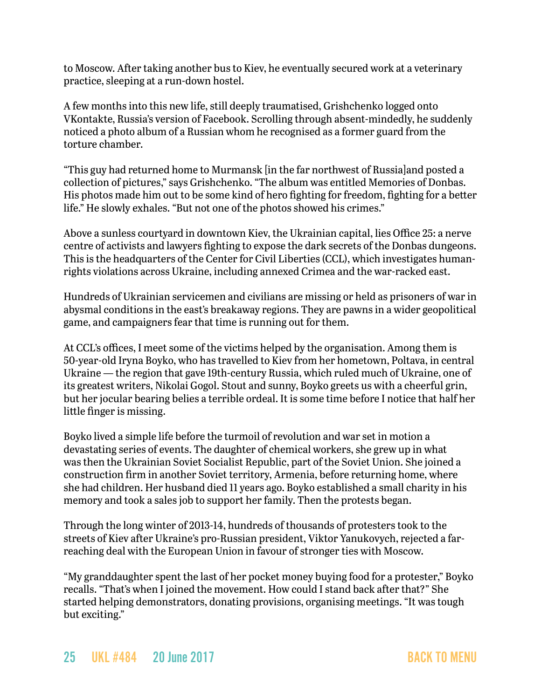to Moscow. After taking another bus to Kiev, he eventually secured work at a veterinary practice, sleeping at a run-down hostel.

A few months into this new life, still deeply traumatised, Grishchenko logged onto VKontakte, Russia's version of [Facebook.](file:///CHAIRE%20UKR/UKL/javascript:void(0);) Scrolling through absent-mindedly, he suddenly noticed a photo album of a Russian whom he recognised as a former guard from the torture chamber.

"This guy had returned home to Murmansk [in the far northwest of Russia]and posted a collection of pictures," says Grishchenko. "The album was entitled Memories of Donbas. His photos made him out to be some kind of hero fighting for freedom, fighting for a better life." He slowly exhales. "But not one of the photos showed his crimes."

Above a sunless courtyard in downtown Kiev, the Ukrainian capital, lies Office 25: a nerve centre of activists and lawyers fighting to expose the dark secrets of the Donbas dungeons. This is the headquarters of the Center for Civil Liberties (CCL), which investigates humanrights violations across Ukraine, including annexed Crimea and the war-racked east.

Hundreds of Ukrainian servicemen and civilians are missing or held as prisoners of war in abysmal conditions in the east's breakaway regions. They are pawns in a wider geopolitical game, and campaigners fear that time is running out for them.

At CCL's offices, I meet some of the victims helped by the organisation. Among them is 50-year-old Iryna Boyko, who has travelled to Kiev from her hometown, Poltava, in central Ukraine — the region that gave 19th-century Russia, which ruled much of Ukraine, one of its greatest writers, Nikolai Gogol. Stout and sunny, Boyko greets us with a cheerful grin, but her jocular bearing belies a terrible ordeal. It is some time before I notice that half her little finger is missing.

Boyko lived a simple life before the turmoil of revolution and war set in motion a devastating series of events. The daughter of chemical workers, she grew up in what was then the Ukrainian Soviet Socialist Republic, part of the Soviet Union. She joined a construction firm in another Soviet territory, Armenia, before returning home, where she had children. Her husband died 11 years ago. Boyko established a small charity in his memory and took a sales job to support her family. Then the protests began.

Through the long winter of 2013-14, hundreds of thousands of protesters took to the streets of Kiev after Ukraine's pro-Russian president, Viktor Yanukovych, rejected a farreaching deal with the [European Union](file:///CHAIRE%20UKR/UKL/javascript:void(0);) in favour of stronger ties with Moscow.

"My granddaughter spent the last of her pocket money buying food for a protester," Boyko recalls. "That's when I joined the movement. How could I stand back after that?" She started helping demonstrators, donating provisions, organising meetings. "It was tough but exciting."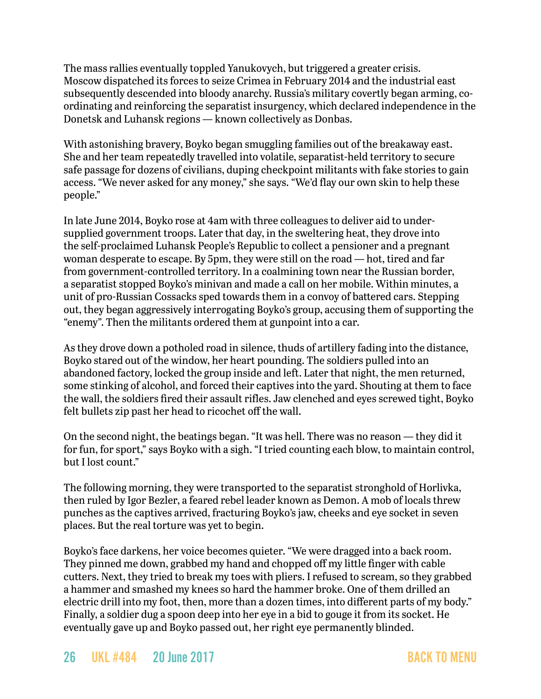The mass rallies eventually toppled Yanukovych, but triggered a greater crisis. Moscow dispatched its forces to seize Crimea in February 2014 and the industrial east subsequently descended into bloody anarchy. Russia's military covertly began arming, coordinating and reinforcing the separatist insurgency, which declared independence in the Donetsk and Luhansk regions — known collectively as Donbas.

With astonishing bravery, Boyko began smuggling families out of the breakaway east. She and her team repeatedly travelled into volatile, separatist-held territory to secure safe passage for dozens of civilians, duping checkpoint militants with fake stories to gain access. "We never asked for any money," she says. "We'd flay our own skin to help these people."

In late June 2014, Boyko rose at 4am with three colleagues to deliver aid to undersupplied government troops. Later that day, in the sweltering heat, they drove into the self-proclaimed Luhansk People's Republic to collect a pensioner and a pregnant woman desperate to escape. By 5pm, they were still on the road — hot, tired and far from government-controlled territory. In a coalmining town near the Russian border, a separatist stopped Boyko's minivan and made a call on her mobile. Within minutes, a unit of pro-Russian Cossacks sped towards them in a convoy of battered cars. Stepping out, they began aggressively interrogating Boyko's group, accusing them of supporting the "enemy". Then the militants ordered them at gunpoint into a car.

As they drove down a potholed road in silence, thuds of artillery fading into the distance, Boyko stared out of the window, her heart pounding. The soldiers pulled into an abandoned factory, locked the group inside and left. Later that night, the men returned, some stinking of alcohol, and forced their captives into the yard. Shouting at them to face the wall, the soldiers fired their assault rifles. Jaw clenched and eyes screwed tight, Boyko felt bullets zip past her head to ricochet off the wall.

On the second night, the beatings began. "It was hell. There was no reason — they did it for fun, for sport," says Boyko with a sigh. "I tried counting each blow, to maintain control, but I lost count."

The following morning, they were transported to the separatist stronghold of Horlivka, then ruled by Igor Bezler, a feared rebel leader known as Demon. A mob of locals threw punches as the captives arrived, fracturing Boyko's jaw, cheeks and eye socket in seven places. But the real torture was yet to begin.

Boyko's face darkens, her voice becomes quieter. "We were dragged into a back room. They pinned me down, grabbed my hand and chopped off my little finger with cable cutters. Next, they tried to break my toes with pliers. I refused to scream, so they grabbed a hammer and smashed my knees so hard the hammer broke. One of them drilled an electric drill into my foot, then, more than a dozen times, into different parts of my body." Finally, a soldier dug a spoon deep into her eye in a bid to gouge it from its socket. He eventually gave up and Boyko passed out, her right eye permanently blinded.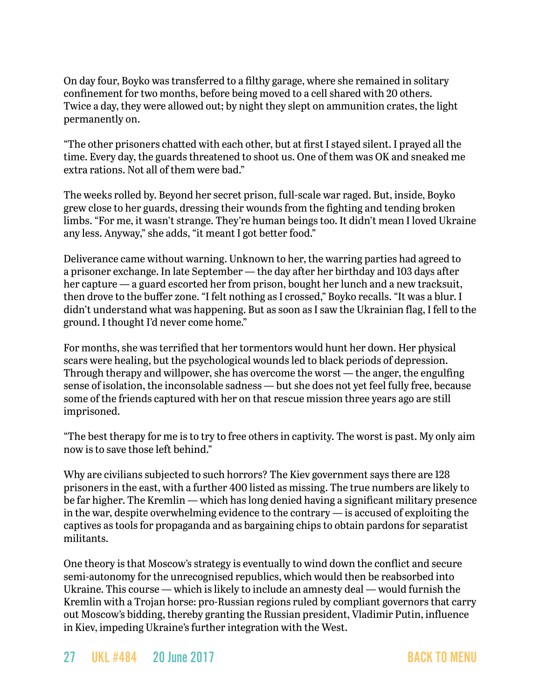On day four, Boyko was transferred to a filthy garage, where she remained in solitary confinement for two months, before being moved to a cell shared with 20 others. Twice a day, they were allowed out; by night they slept on ammunition crates, the light permanently on.

"The other prisoners chatted with each other, but at first I stayed silent. I prayed all the time. Every day, the guards threatened to shoot us. One of them was OK and sneaked me extra rations. Not all of them were bad."

The weeks rolled by. Beyond her secret prison, full-scale war raged. But, inside, Boyko grew close to her guards, dressing their wounds from the fighting and tending broken limbs. "For me, it wasn't strange. They're human beings too. It didn't mean I loved Ukraine any less. Anyway," she adds, "it meant I got better food."

Deliverance came without warning. Unknown to her, the warring parties had agreed to a prisoner exchange. In late September — the day after her birthday and 103 days after her capture — a guard escorted her from prison, bought her lunch and a new tracksuit, then drove to the buffer zone. "I felt nothing as I crossed," Boyko recalls. "It was a blur. I didn't understand what was happening. But as soon as I saw the Ukrainian flag, I fell to the ground. I thought I'd never come home."

For months, she was terrified that her tormentors would hunt her down. Her physical scars were healing, but the psychological wounds led to black periods of depression. Through therapy and willpower, she has overcome the worst — the anger, the engulfing sense of isolation, the inconsolable sadness — but she does not yet feel fully free, because some of the friends captured with her on that rescue mission three years ago are still imprisoned.

"The best therapy for me is to try to free others in captivity. The worst is past. My only aim now is to save those left behind."

Why are civilians subjected to such horrors? The Kiev government says there are 128 prisoners in the east, with a further 400 listed as missing. The true numbers are likely to be far higher. The Kremlin — which has long denied having a significant military presence in the war, despite overwhelming evidence to the contrary — is accused of exploiting the captives as tools for propaganda and as bargaining chips to obtain pardons for separatist militants.

One theory is that Moscow's strategy is eventually to wind down the conflict and secure semi-autonomy for the unrecognised republics, which would then be reabsorbed into Ukraine. This course — which is likely to include an amnesty deal — would furnish the Kremlin with a Trojan horse: pro-Russian regions ruled by compliant governors that carry out Moscow's bidding, thereby granting the Russian president, Vladimir Putin, influence in Kiev, impeding Ukraine's further integration with the West.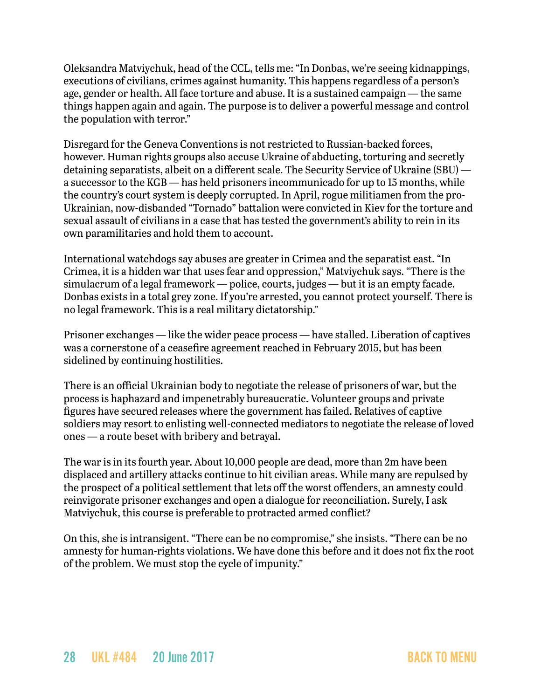Oleksandra Matviychuk, head of the CCL, tells me: "In Donbas, we're seeing kidnappings, executions of civilians, crimes against humanity. This happens regardless of a person's age, gender or health. All face torture and abuse. It is a sustained campaign — the same things happen again and again. The purpose is to deliver a powerful message and control the population with terror."

Disregard for the Geneva Conventions is not restricted to Russian-backed forces, however. Human rights groups also accuse Ukraine of abducting, torturing and secretly detaining separatists, albeit on a different scale. The Security Service of Ukraine (SBU) a successor to the KGB — has held prisoners incommunicado for up to 15 months, while the country's court system is deeply corrupted. In April, rogue militiamen from the pro-Ukrainian, now-disbanded "Tornado" battalion were convicted in Kiev for the torture and sexual assault of civilians in a case that has tested the government's ability to rein in its own paramilitaries and hold them to account.

International watchdogs say abuses are greater in Crimea and the separatist east. "In Crimea, it is a hidden war that uses fear and oppression," Matviychuk says. "There is the simulacrum of a legal framework — police, courts, judges — but it is an empty facade. Donbas exists in a total grey zone. If you're arrested, you cannot protect yourself. There is no legal framework. This is a real military dictatorship."

Prisoner exchanges — like the wider peace process — have stalled. Liberation of captives was a cornerstone of a ceasefire agreement reached in February 2015, but has been sidelined by continuing hostilities.

There is an official Ukrainian body to negotiate the release of prisoners of war, but the process is haphazard and impenetrably bureaucratic. Volunteer groups and private figures have secured releases where the government has failed. Relatives of captive soldiers may resort to enlisting well-connected mediators to negotiate the release of loved ones — a route beset with bribery and betrayal.

The war is in its fourth year. About 10,000 people are dead, more than 2m have been displaced and artillery attacks continue to hit civilian areas. While many are repulsed by the prospect of a political settlement that lets off the worst offenders, an amnesty could reinvigorate prisoner exchanges and open a dialogue for reconciliation. Surely, I ask Matviychuk, this course is preferable to protracted armed conflict?

On this, she is intransigent. "There can be no compromise," she insists. "There can be no amnesty for human-rights violations. We have done this before and it does not fix the root of the problem. We must stop the cycle of impunity."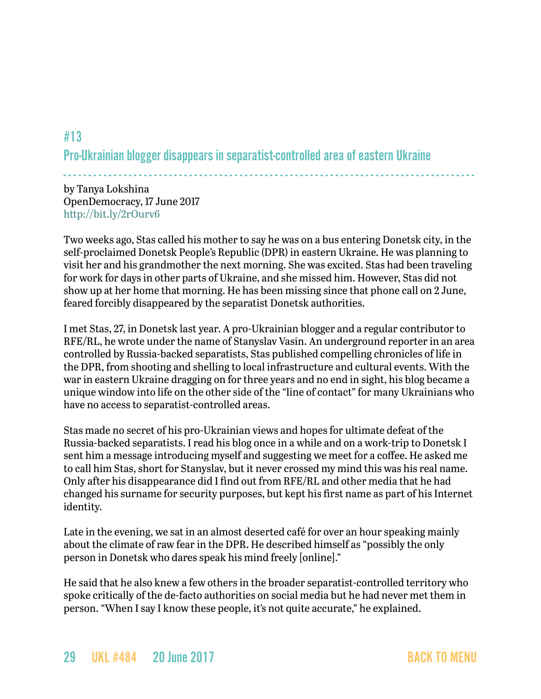## <span id="page-28-0"></span>#13 Pro-Ukrainian blogger disappears in separatist-controlled area of eastern Ukraine

- - - - - - - - - - - - - - - - - - - - - - - - - - - - - - - - - - - - - - - - - - - - - - - - - - - - - - - - - - - - - - - - - - - - - - - - - - - - - - - - - by Tanya Lokshina OpenDemocracy, 17 June 2017 <http://bit.ly/2rOurv6>

Two weeks ago, Stas called his mother to say he was on a bus entering Donetsk city, in the self-proclaimed Donetsk People's Republic (DPR) in eastern Ukraine. He was planning to visit her and his grandmother the next morning. She was excited. Stas had been traveling for work for days in other parts of Ukraine, and she missed him. However, Stas did not show up at her home that morning. He has been missing since that phone call on 2 June, feared forcibly disappeared by the separatist Donetsk authorities.

I met Stas, 27, in Donetsk last year. A pro-Ukrainian blogger and a regular contributor to RFE/RL, he wrote under the name of Stanyslav Vasin. An underground reporter in an area controlled by Russia-backed separatists, Stas published compelling chronicles of life in the DPR, from shooting and shelling to local infrastructure and cultural events. With the war in eastern Ukraine dragging on for three years and no end in sight, his blog became a unique window into life on the other side of the "line of contact" for many Ukrainians who have no access to separatist-controlled areas.

Stas made no secret of his pro-Ukrainian views and hopes for ultimate defeat of the Russia-backed separatists. I read his blog once in a while and on a work-trip to Donetsk I sent him a message introducing myself and suggesting we meet for a coffee. He asked me to call him Stas, short for Stanyslav, but it never crossed my mind this was his real name. Only after his disappearance did I find out from RFE/RL and other media that he had changed his surname for security purposes, but kept his first name as part of his Internet identity.

Late in the evening, we sat in an almost deserted café for over an hour speaking mainly about the climate of raw fear in the DPR. He described himself as "possibly the only person in Donetsk who dares speak his mind freely [online]."

He said that he also knew a few others in the broader separatist-controlled territory who spoke critically of the de-facto authorities on social media but he had never met them in person. "When I say I know these people, it's not quite accurate," he explained.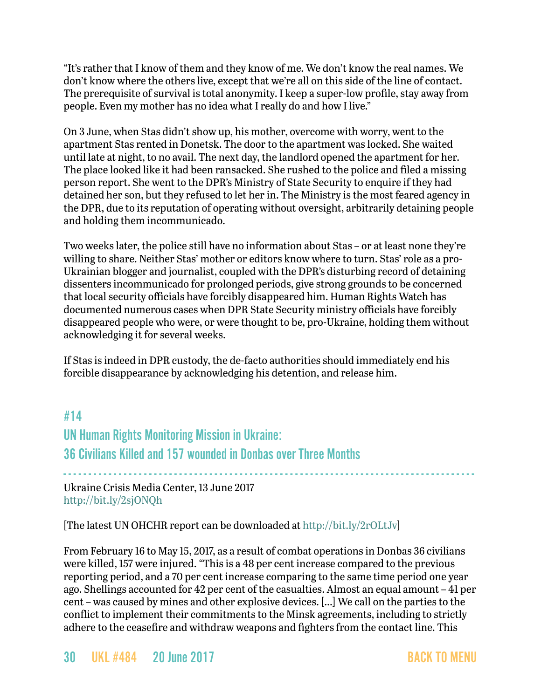"It's rather that I know of them and they know of me. We don't know the real names. We don't know where the others live, except that we're all on this side of the line of contact. The prerequisite of survival is total anonymity. I keep a super-low profile, stay away from people. Even my mother has no idea what I really do and how I live."

On 3 June, when Stas didn't show up, his mother, overcome with worry, went to the apartment Stas rented in Donetsk. The door to the apartment was locked. She waited until late at night, to no avail. The next day, the landlord opened the apartment for her. The place looked like it had been ransacked. She rushed to the police and filed a missing person report. She went to the DPR's Ministry of State Security to enquire if they had detained her son, but they refused to let her in. The Ministry is the most feared agency in the DPR, due to its reputation of operating without oversight, arbitrarily detaining people and holding them incommunicado.

Two weeks later, the police still have no information about Stas – or at least none they're willing to share. Neither Stas' mother or editors know where to turn. Stas' role as a pro-Ukrainian blogger and journalist, coupled with the DPR's disturbing record of detaining dissenters incommunicado for prolonged periods, give strong grounds to be concerned that local security officials have forcibly disappeared him. Human Rights Watch has documented numerous cases when DPR State Security ministry officials have forcibly disappeared people who were, or were thought to be, pro-Ukraine, holding them without acknowledging it for several weeks.

If Stas is indeed in DPR custody, the de-facto authorities should immediately end his forcible disappearance by acknowledging his detention, and release him.

<span id="page-29-0"></span>#14 UN Human Rights Monitoring Mission in Ukraine: 36 Civilians Killed and 157 wounded in Donbas over Three Months

- - - - - - - - - - - - - - - - - - - - - - - - - - - - - - - - - - - - - - - - - - - - - - - - - - - - - - - - - - - - - - - - - - - - - - - - - - - - - - - - - - Ukraine Crisis Media Center, 13 June 2017 <http://bit.ly/2sjONQh>

[The latest UN OHCHR report can be downloaded at [http://bit.ly/2rOLtJv\]](http://bit.ly/2rOLtJv)

From February 16 to May 15, 2017, as a result of combat operations in Donbas 36 civilians were killed, 157 were injured. "This is a 48 per cent increase compared to the previous reporting period, and a 70 per cent increase comparing to the same time period one year ago. Shellings accounted for 42 per cent of the casualties. Almost an equal amount – 41 per cent – was caused by mines and other explosive devices. […] We call on the parties to the conflict to implement their commitments to the Minsk agreements, including to strictly adhere to the ceasefire and withdraw weapons and fighters from the contact line. This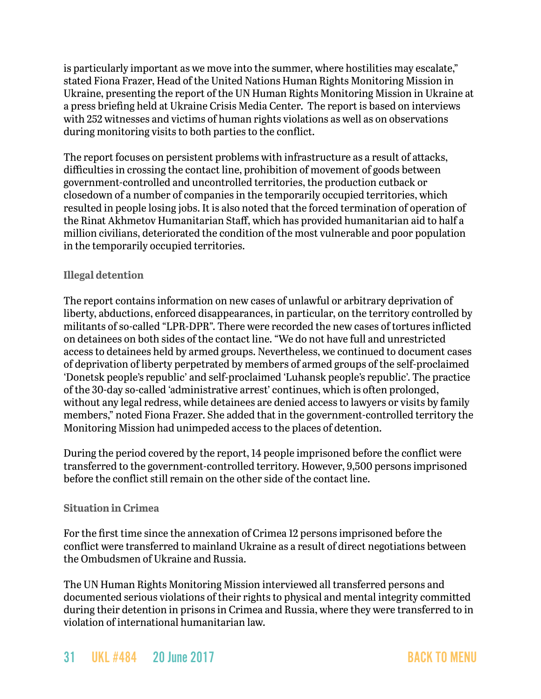is particularly important as we move into the summer, where hostilities may escalate," stated Fiona Frazer, Head of the United Nations Human Rights Monitoring Mission in Ukraine, presenting the report of the UN Human Rights Monitoring Mission in Ukraine at a press briefing held at Ukraine Crisis Media Center. The report is based on interviews with 252 witnesses and victims of human rights violations as well as on observations during monitoring visits to both parties to the conflict.

The report focuses on persistent problems with infrastructure as a result of attacks, difficulties in crossing the contact line, prohibition of movement of goods between government-controlled and uncontrolled territories, the production cutback or closedown of a number of companies in the temporarily occupied territories, which resulted in people losing jobs. It is also noted that the forced termination of operation of the Rinat Akhmetov Humanitarian Staff, which has provided humanitarian aid to half a million civilians, deteriorated the condition of the most vulnerable and poor population in the temporarily occupied territories.

### **Illegal detention**

The report contains information on new cases of unlawful or arbitrary deprivation of liberty, abductions, enforced disappearances, in particular, on the territory controlled by militants of so-called "LPR-DPR". There were recorded the new cases of tortures inflicted on detainees on both sides of the contact line. "We do not have full and unrestricted access to detainees held by armed groups. Nevertheless, we continued to document cases of deprivation of liberty perpetrated by members of armed groups of the self-proclaimed 'Donetsk people's republic' and self-proclaimed 'Luhansk people's republic'. The practice of the 30-day so-called 'administrative arrest' continues, which is often prolonged, without any legal redress, while detainees are denied access to lawyers or visits by family members," noted Fiona Frazer. She added that in the government-controlled territory the Monitoring Mission had unimpeded access to the places of detention.

During the period covered by the report, 14 people imprisoned before the conflict were transferred to the government-controlled territory. However, 9,500 persons imprisoned before the conflict still remain on the other side of the contact line.

### **Situation in Crimea**

For the first time since the annexation of Crimea 12 persons imprisoned before the conflict were transferred to mainland Ukraine as a result of direct negotiations between the Ombudsmen of Ukraine and Russia.

The UN Human Rights Monitoring Mission interviewed all transferred persons and documented serious violations of their rights to physical and mental integrity committed during their detention in prisons in Crimea and Russia, where they were transferred to in violation of international humanitarian law.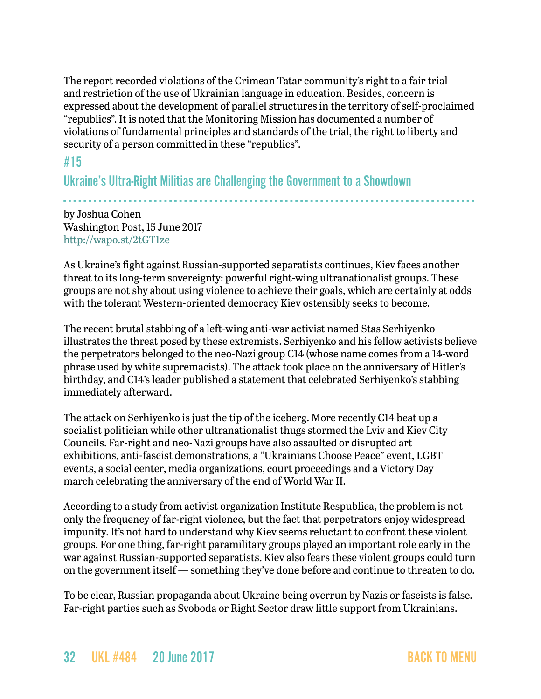The report recorded violations of the Crimean Tatar community's right to a fair trial and restriction of the use of Ukrainian language in education. Besides, concern is expressed about the development of parallel structures in the territory of self-proclaimed "republics". It is noted that the Monitoring Mission has documented a number of violations of fundamental principles and standards of the trial, the right to liberty and security of a person committed in these "republics".

## #15

Ukraine's Ultra-Right Militias are Challenging the Government to a Showdown

- - - - - - - - - - - - - - - - - - - - - - - - - - - - - - - - - - - - - - - - - - - - - - - - - - - - - - - - - - - - - - - - - - - - - - - - - - - - - - - - - by Joshua Cohen Washington Post, 15 June 2017 <http://wapo.st/2tGT1ze>

As Ukraine's fight against Russian-supported separatists continues, Kiev faces another threat to its long-term sovereignty: powerful right-wing ultranationalist groups. These groups are not shy about using violence to achieve their goals, which are certainly at odds with the tolerant Western-oriented democracy Kiev ostensibly seeks to become.

The recent brutal stabbing of a left-wing anti-war activist named Stas Serhiyenko illustrates the threat posed by these extremists. Serhiyenko and his fellow activists believe the perpetrators belonged to the neo-Nazi group C14 (whose name comes from a 14-word phrase used by white supremacists). The attack took place on the anniversary of Hitler's birthday, and C14's leader published a statement that celebrated Serhiyenko's stabbing immediately afterward.

The attack on Serhiyenko is just the tip of the iceberg. More recently C14 beat up a socialist politician while other ultranationalist thugs stormed the Lviv and Kiev City Councils. Far-right and neo-Nazi groups have also assaulted or disrupted art exhibitions, anti-fascist demonstrations, a "Ukrainians Choose Peace" event, LGBT events, a social center, media organizations, court proceedings and a Victory Day march celebrating the anniversary of the end of World War II.

According to a study from activist organization Institute Respublica, the problem is not only the frequency of far-right violence, but the fact that perpetrators enjoy widespread impunity. It's not hard to understand why Kiev seems reluctant to confront these violent groups. For one thing, far-right paramilitary groups played an important role early in the war against Russian-supported separatists. Kiev also fears these violent groups could turn on the government itself — something they've done before and continue to threaten to do.

To be clear, Russian propaganda about Ukraine being overrun by Nazis or fascists is false. Far-right parties such as Svoboda or Right Sector draw little support from Ukrainians.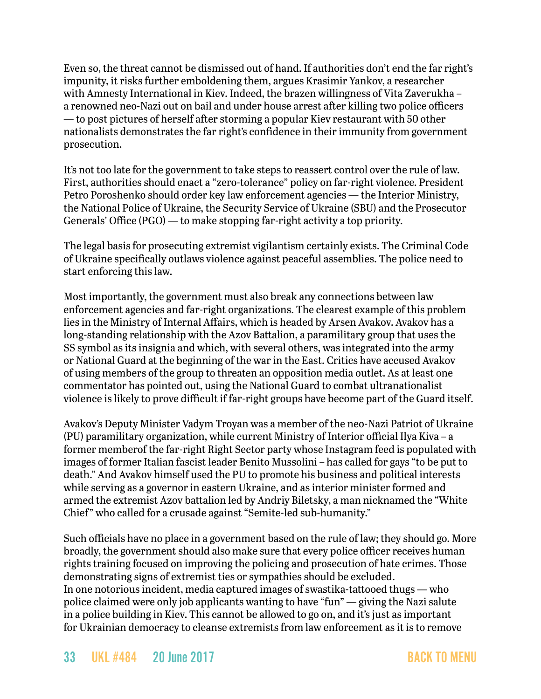Even so, the threat cannot be dismissed out of hand. If authorities don't end the far right's impunity, it risks further emboldening them, argues Krasimir Yankov, a researcher with Amnesty International in Kiev. Indeed, the brazen willingness of Vita Zaverukha – a renowned neo-Nazi out on bail and under house arrest after killing two police officers — to post pictures of herself after storming a popular Kiev restaurant with 50 other nationalists demonstrates the far right's confidence in their immunity from government prosecution.

It's not too late for the government to take steps to reassert control over the rule of law. First, authorities should enact a "zero-tolerance" policy on far-right violence. President Petro Poroshenko should order key law enforcement agencies — the Interior Ministry, the National Police of Ukraine, the Security Service of Ukraine (SBU) and the Prosecutor Generals' Office (PGO) — to make stopping far-right activity a top priority.

The legal basis for prosecuting extremist vigilantism certainly exists. The Criminal Code of Ukraine specifically outlaws violence against peaceful assemblies. The police need to start enforcing this law.

Most importantly, the government must also break any connections between law enforcement agencies and far-right organizations. The clearest example of this problem lies in the Ministry of Internal Affairs, which is headed by Arsen Avakov. Avakov has a long-standing relationship with the Azov Battalion, a paramilitary group that uses the SS symbol as its insignia and which, with several others, was integrated into the army or National Guard at the beginning of the war in the East. Critics have accused Avakov of using members of the group to threaten an opposition media outlet. As at least one commentator has pointed out, using the National Guard to combat ultranationalist violence is likely to prove difficult if far-right groups have become part of the Guard itself.

Avakov's Deputy Minister Vadym Troyan was a member of the neo-Nazi Patriot of Ukraine (PU) paramilitary organization, while current Ministry of Interior official Ilya Kiva – a former memberof the far-right Right Sector party whose Instagram feed is populated with images of former Italian fascist leader Benito Mussolini – has called for gays "to be put to death." And Avakov himself used the PU to promote his business and political interests while serving as a governor in eastern Ukraine, and as interior minister formed and armed the extremist Azov battalion led by Andriy Biletsky, a man nicknamed the "White Chief" who called for a crusade against "Semite-led sub-humanity."

Such officials have no place in a government based on the rule of law; they should go. More broadly, the government should also make sure that every police officer receives human rights training focused on improving the policing and prosecution of hate crimes. Those demonstrating signs of extremist ties or sympathies should be excluded. In one notorious incident, media captured images of swastika-tattooed thugs — who police claimed were only job applicants wanting to have "fun" — giving the Nazi salute in a police building in Kiev. This cannot be allowed to go on, and it's just as important for Ukrainian democracy to cleanse extremists from law enforcement as it is to remove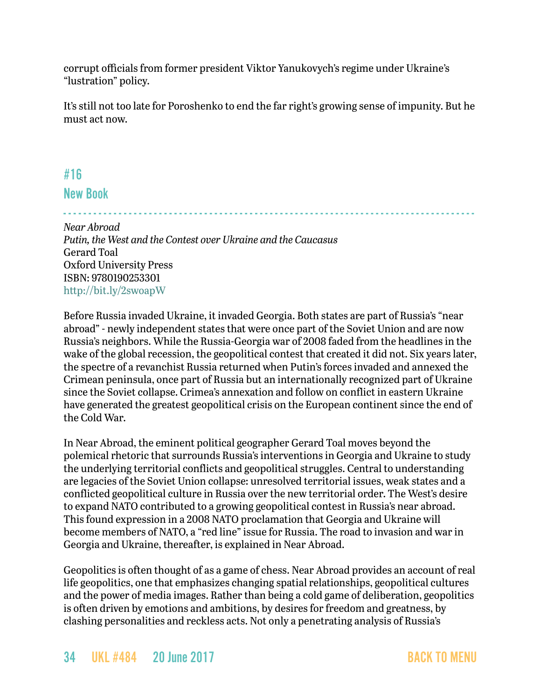corrupt officials from former president Viktor Yanukovych's regime under Ukraine's "lustration" policy.

It's still not too late for Poroshenko to end the far right's growing sense of impunity. But he must act now.

# <span id="page-33-0"></span>#16

## New Book

- - - - - - - - - - - - - - - - - - - - - - - - - - - - - - - - - - - - - - - - - - - - - - - - - - - - - - - - - - - - - - - - - - - - - - - - - - - - - - - - - - *Near Abroad Putin, the West and the Contest over Ukraine and the Caucasus* Gerard Toal Oxford University Press ISBN: 9780190253301 <http://bit.ly/2swoapW>

Before Russia invaded Ukraine, it invaded Georgia. Both states are part of Russia's "near abroad" - newly independent states that were once part of the Soviet Union and are now Russia's neighbors. While the Russia-Georgia war of 2008 faded from the headlines in the wake of the global recession, the geopolitical contest that created it did not. Six years later, the spectre of a revanchist Russia returned when Putin's forces invaded and annexed the Crimean peninsula, once part of Russia but an internationally recognized part of Ukraine since the Soviet collapse. Crimea's annexation and follow on conflict in eastern Ukraine have generated the greatest geopolitical crisis on the European continent since the end of the Cold War.

In Near Abroad, the eminent political geographer Gerard Toal moves beyond the polemical rhetoric that surrounds Russia's interventions in Georgia and Ukraine to study the underlying territorial conflicts and geopolitical struggles. Central to understanding are legacies of the Soviet Union collapse: unresolved territorial issues, weak states and a conflicted geopolitical culture in Russia over the new territorial order. The West's desire to expand NATO contributed to a growing geopolitical contest in Russia's near abroad. This found expression in a 2008 NATO proclamation that Georgia and Ukraine will become members of NATO, a "red line" issue for Russia. The road to invasion and war in Georgia and Ukraine, thereafter, is explained in Near Abroad.

Geopolitics is often thought of as a game of chess. Near Abroad provides an account of real life geopolitics, one that emphasizes changing spatial relationships, geopolitical cultures and the power of media images. Rather than being a cold game of deliberation, geopolitics is often driven by emotions and ambitions, by desires for freedom and greatness, by clashing personalities and reckless acts. Not only a penetrating analysis of Russia's